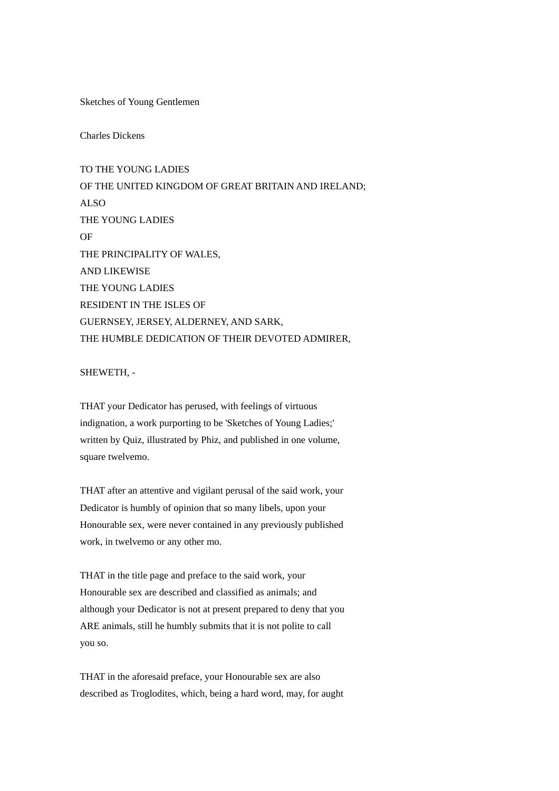Sketches of Young Gentlemen

Charles Dickens

TO THE YOUNG LADIES OF THE UNITED KINGDOM OF GREAT BRITAIN AND IRELAND; ALSO THE YOUNG LADIES OF THE PRINCIPALITY OF WALES, AND LIKEWISE THE YOUNG LADIES RESIDENT IN THE ISLES OF GUERNSEY, JERSEY, ALDERNEY, AND SARK, THE HUMBLE DEDICATION OF THEIR DEVOTED ADMIRER,

SHEWETH, -

THAT your Dedicator has perused, with feelings of virtuous indignation, a work purporting to be 'Sketches of Young Ladies;' written by Quiz, illustrated by Phiz, and published in one volume, square twelvemo.

THAT after an attentive and vigilant perusal of the said work, your Dedicator is humbly of opinion that so many libels, upon your Honourable sex, were never contained in any previously published work, in twelvemo or any other mo.

THAT in the title page and preface to the said work, your Honourable sex are described and classified as animals; and although your Dedicator is not at present prepared to deny that you ARE animals, still he humbly submits that it is not polite to call you so.

THAT in the aforesaid preface, your Honourable sex are also described as Troglodites, which, being a hard word, may, for aught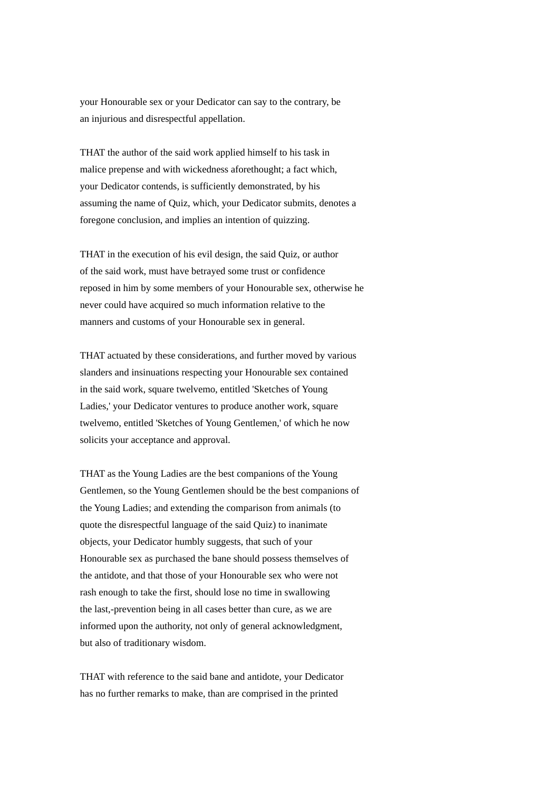your Honourable sex or your Dedicator can say to the contrary, be an injurious and disrespectful appellation.

THAT the author of the said work applied himself to his task in malice prepense and with wickedness aforethought; a fact which, your Dedicator contends, is sufficiently demonstrated, by his assuming the name of Quiz, which, your Dedicator submits, denotes a foregone conclusion, and implies an intention of quizzing.

THAT in the execution of his evil design, the said Quiz, or author of the said work, must have betrayed some trust or confidence reposed in him by some members of your Honourable sex, otherwise he never could have acquired so much information relative to the manners and customs of your Honourable sex in general.

THAT actuated by these considerations, and further moved by various slanders and insinuations respecting your Honourable sex contained in the said work, square twelvemo, entitled 'Sketches of Young Ladies,' your Dedicator ventures to produce another work, square twelvemo, entitled 'Sketches of Young Gentlemen,' of which he now solicits your acceptance and approval.

THAT as the Young Ladies are the best companions of the Young Gentlemen, so the Young Gentlemen should be the best companions of the Young Ladies; and extending the comparison from animals (to quote the disrespectful language of the said Quiz) to inanimate objects, your Dedicator humbly suggests, that such of your Honourable sex as purchased the bane should possess themselves of the antidote, and that those of your Honourable sex who were not rash enough to take the first, should lose no time in swallowing the last,-prevention being in all cases better than cure, as we are informed upon the authority, not only of general acknowledgment, but also of traditionary wisdom.

THAT with reference to the said bane and antidote, your Dedicator has no further remarks to make, than are comprised in the printed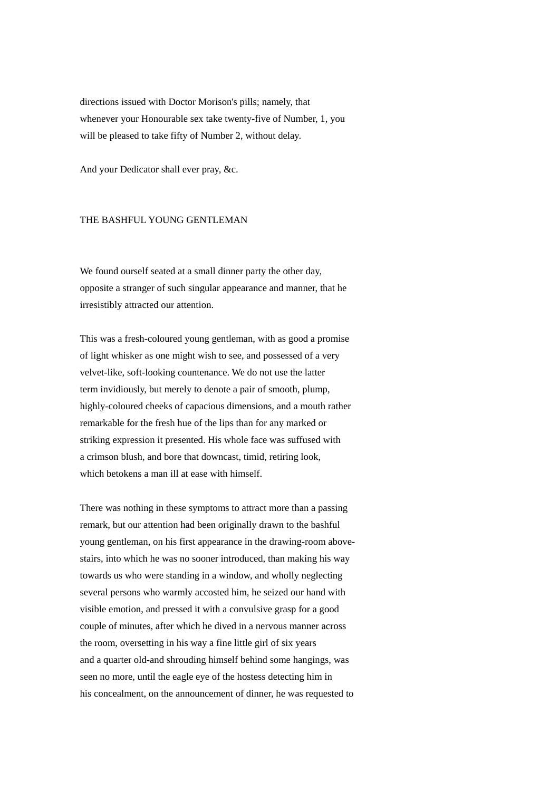directions issued with Doctor Morison's pills; namely, that whenever your Honourable sex take twenty-five of Number, 1, you will be pleased to take fifty of Number 2, without delay.

And your Dedicator shall ever pray, &c.

### THE BASHFUL YOUNG GENTLEMAN

We found ourself seated at a small dinner party the other day, opposite a stranger of such singular appearance and manner, that he irresistibly attracted our attention.

This was a fresh-coloured young gentleman, with as good a promise of light whisker as one might wish to see, and possessed of a very velvet-like, soft-looking countenance. We do not use the latter term invidiously, but merely to denote a pair of smooth, plump, highly-coloured cheeks of capacious dimensions, and a mouth rather remarkable for the fresh hue of the lips than for any marked or striking expression it presented. His whole face was suffused with a crimson blush, and bore that downcast, timid, retiring look, which betokens a man ill at ease with himself.

There was nothing in these symptoms to attract more than a passing remark, but our attention had been originally drawn to the bashful young gentleman, on his first appearance in the drawing-room abovestairs, into which he was no sooner introduced, than making his way towards us who were standing in a window, and wholly neglecting several persons who warmly accosted him, he seized our hand with visible emotion, and pressed it with a convulsive grasp for a good couple of minutes, after which he dived in a nervous manner across the room, oversetting in his way a fine little girl of six years and a quarter old-and shrouding himself behind some hangings, was seen no more, until the eagle eye of the hostess detecting him in his concealment, on the announcement of dinner, he was requested to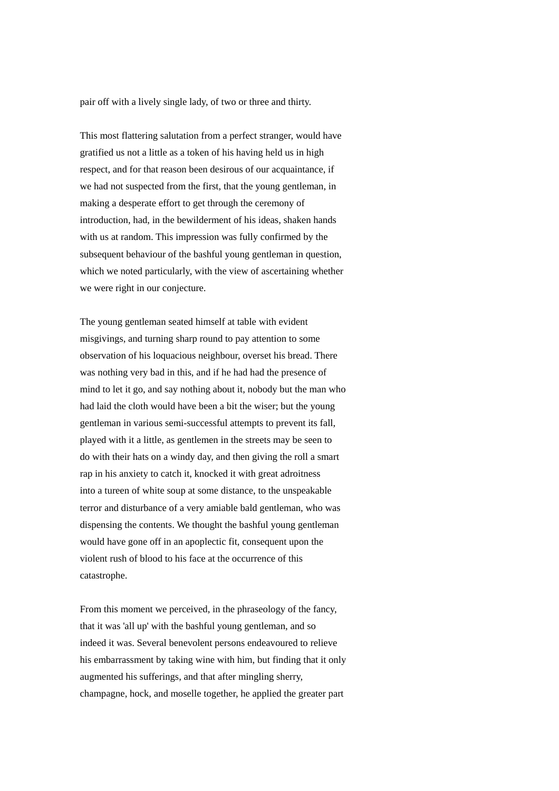pair off with a lively single lady, of two or three and thirty.

This most flattering salutation from a perfect stranger, would have gratified us not a little as a token of his having held us in high respect, and for that reason been desirous of our acquaintance, if we had not suspected from the first, that the young gentleman, in making a desperate effort to get through the ceremony of introduction, had, in the bewilderment of his ideas, shaken hands with us at random. This impression was fully confirmed by the subsequent behaviour of the bashful young gentleman in question, which we noted particularly, with the view of ascertaining whether we were right in our conjecture.

The young gentleman seated himself at table with evident misgivings, and turning sharp round to pay attention to some observation of his loquacious neighbour, overset his bread. There was nothing very bad in this, and if he had had the presence of mind to let it go, and say nothing about it, nobody but the man who had laid the cloth would have been a bit the wiser; but the young gentleman in various semi-successful attempts to prevent its fall, played with it a little, as gentlemen in the streets may be seen to do with their hats on a windy day, and then giving the roll a smart rap in his anxiety to catch it, knocked it with great adroitness into a tureen of white soup at some distance, to the unspeakable terror and disturbance of a very amiable bald gentleman, who was dispensing the contents. We thought the bashful young gentleman would have gone off in an apoplectic fit, consequent upon the violent rush of blood to his face at the occurrence of this catastrophe.

From this moment we perceived, in the phraseology of the fancy, that it was 'all up' with the bashful young gentleman, and so indeed it was. Several benevolent persons endeavoured to relieve his embarrassment by taking wine with him, but finding that it only augmented his sufferings, and that after mingling sherry, champagne, hock, and moselle together, he applied the greater part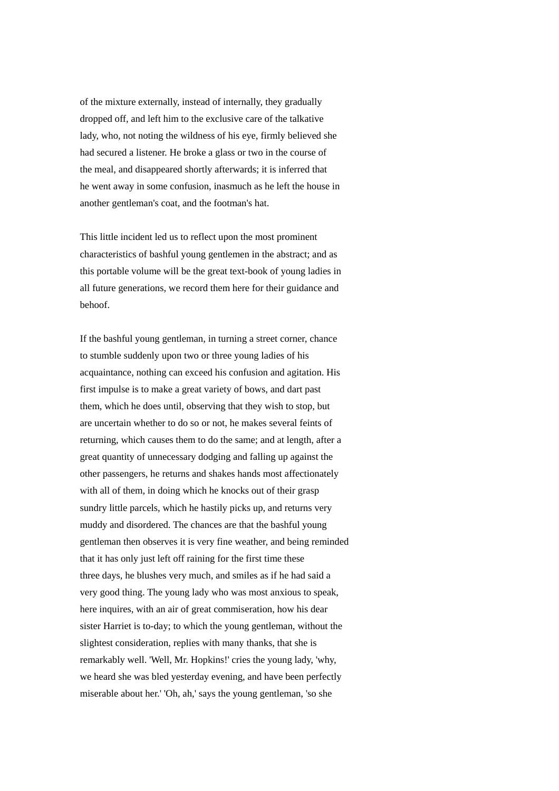of the mixture externally, instead of internally, they gradually dropped off, and left him to the exclusive care of the talkative lady, who, not noting the wildness of his eye, firmly believed she had secured a listener. He broke a glass or two in the course of the meal, and disappeared shortly afterwards; it is inferred that he went away in some confusion, inasmuch as he left the house in another gentleman's coat, and the footman's hat.

This little incident led us to reflect upon the most prominent characteristics of bashful young gentlemen in the abstract; and as this portable volume will be the great text-book of young ladies in all future generations, we record them here for their guidance and behoof.

If the bashful young gentleman, in turning a street corner, chance to stumble suddenly upon two or three young ladies of his acquaintance, nothing can exceed his confusion and agitation. His first impulse is to make a great variety of bows, and dart past them, which he does until, observing that they wish to stop, but are uncertain whether to do so or not, he makes several feints of returning, which causes them to do the same; and at length, after a great quantity of unnecessary dodging and falling up against the other passengers, he returns and shakes hands most affectionately with all of them, in doing which he knocks out of their grasp sundry little parcels, which he hastily picks up, and returns very muddy and disordered. The chances are that the bashful young gentleman then observes it is very fine weather, and being reminded that it has only just left off raining for the first time these three days, he blushes very much, and smiles as if he had said a very good thing. The young lady who was most anxious to speak, here inquires, with an air of great commiseration, how his dear sister Harriet is to-day; to which the young gentleman, without the slightest consideration, replies with many thanks, that she is remarkably well. 'Well, Mr. Hopkins!' cries the young lady, 'why, we heard she was bled yesterday evening, and have been perfectly miserable about her.' 'Oh, ah,' says the young gentleman, 'so she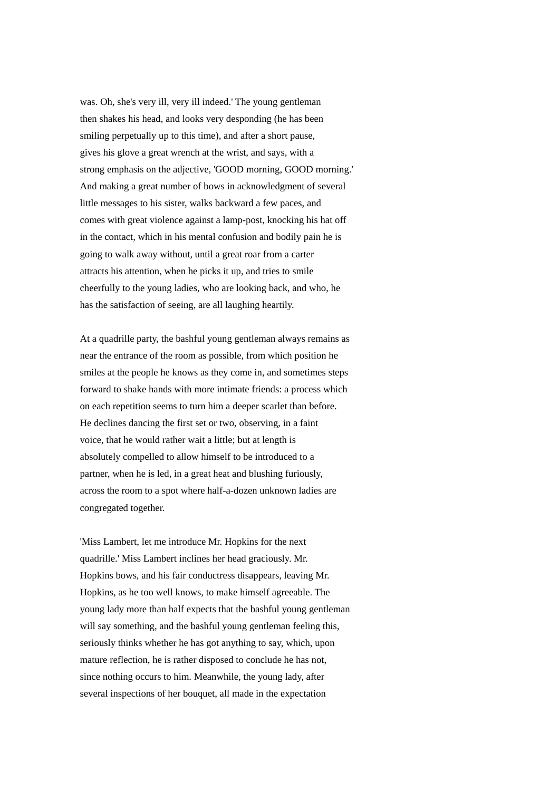was. Oh, she's very ill, very ill indeed.' The young gentleman then shakes his head, and looks very desponding (he has been smiling perpetually up to this time), and after a short pause, gives his glove a great wrench at the wrist, and says, with a strong emphasis on the adjective, 'GOOD morning, GOOD morning.' And making a great number of bows in acknowledgment of several little messages to his sister, walks backward a few paces, and comes with great violence against a lamp-post, knocking his hat off in the contact, which in his mental confusion and bodily pain he is going to walk away without, until a great roar from a carter attracts his attention, when he picks it up, and tries to smile cheerfully to the young ladies, who are looking back, and who, he has the satisfaction of seeing, are all laughing heartily.

At a quadrille party, the bashful young gentleman always remains as near the entrance of the room as possible, from which position he smiles at the people he knows as they come in, and sometimes steps forward to shake hands with more intimate friends: a process which on each repetition seems to turn him a deeper scarlet than before. He declines dancing the first set or two, observing, in a faint voice, that he would rather wait a little; but at length is absolutely compelled to allow himself to be introduced to a partner, when he is led, in a great heat and blushing furiously, across the room to a spot where half-a-dozen unknown ladies are congregated together.

'Miss Lambert, let me introduce Mr. Hopkins for the next quadrille.' Miss Lambert inclines her head graciously. Mr. Hopkins bows, and his fair conductress disappears, leaving Mr. Hopkins, as he too well knows, to make himself agreeable. The young lady more than half expects that the bashful young gentleman will say something, and the bashful young gentleman feeling this, seriously thinks whether he has got anything to say, which, upon mature reflection, he is rather disposed to conclude he has not, since nothing occurs to him. Meanwhile, the young lady, after several inspections of her bouquet, all made in the expectation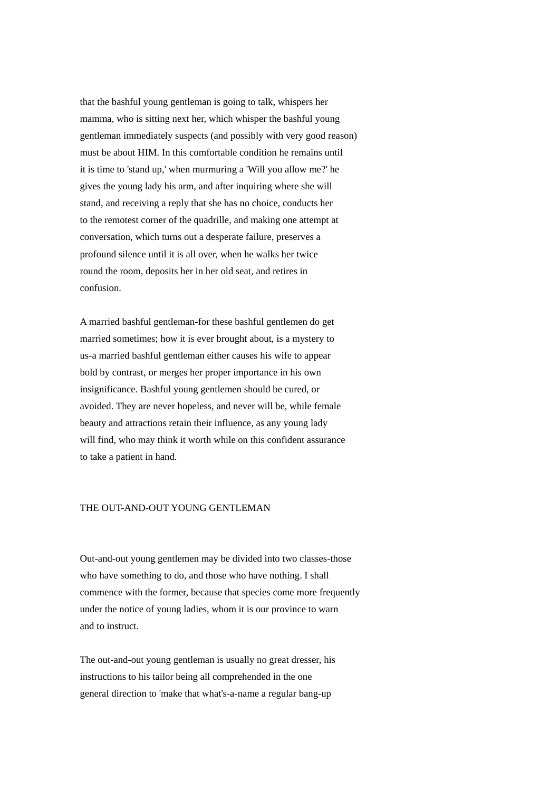that the bashful young gentleman is going to talk, whispers her mamma, who is sitting next her, which whisper the bashful young gentleman immediately suspects (and possibly with very good reason) must be about HIM. In this comfortable condition he remains until it is time to 'stand up,' when murmuring a 'Will you allow me?' he gives the young lady his arm, and after inquiring where she will stand, and receiving a reply that she has no choice, conducts her to the remotest corner of the quadrille, and making one attempt at conversation, which turns out a desperate failure, preserves a profound silence until it is all over, when he walks her twice round the room, deposits her in her old seat, and retires in confusion.

A married bashful gentleman-for these bashful gentlemen do get married sometimes; how it is ever brought about, is a mystery to us-a married bashful gentleman either causes his wife to appear bold by contrast, or merges her proper importance in his own insignificance. Bashful young gentlemen should be cured, or avoided. They are never hopeless, and never will be, while female beauty and attractions retain their influence, as any young lady will find, who may think it worth while on this confident assurance to take a patient in hand.

#### THE OUT-AND-OUT YOUNG GENTLEMAN

Out-and-out young gentlemen may be divided into two classes-those who have something to do, and those who have nothing. I shall commence with the former, because that species come more frequently under the notice of young ladies, whom it is our province to warn and to instruct.

The out-and-out young gentleman is usually no great dresser, his instructions to his tailor being all comprehended in the one general direction to 'make that what's-a-name a regular bang-up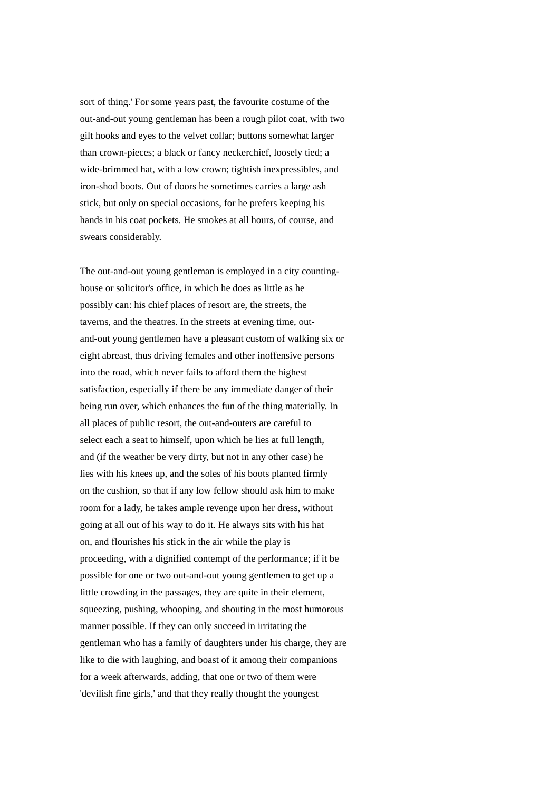sort of thing.' For some years past, the favourite costume of the out-and-out young gentleman has been a rough pilot coat, with two gilt hooks and eyes to the velvet collar; buttons somewhat larger than crown-pieces; a black or fancy neckerchief, loosely tied; a wide-brimmed hat, with a low crown; tightish inexpressibles, and iron-shod boots. Out of doors he sometimes carries a large ash stick, but only on special occasions, for he prefers keeping his hands in his coat pockets. He smokes at all hours, of course, and swears considerably.

The out-and-out young gentleman is employed in a city countinghouse or solicitor's office, in which he does as little as he possibly can: his chief places of resort are, the streets, the taverns, and the theatres. In the streets at evening time, outand-out young gentlemen have a pleasant custom of walking six or eight abreast, thus driving females and other inoffensive persons into the road, which never fails to afford them the highest satisfaction, especially if there be any immediate danger of their being run over, which enhances the fun of the thing materially. In all places of public resort, the out-and-outers are careful to select each a seat to himself, upon which he lies at full length, and (if the weather be very dirty, but not in any other case) he lies with his knees up, and the soles of his boots planted firmly on the cushion, so that if any low fellow should ask him to make room for a lady, he takes ample revenge upon her dress, without going at all out of his way to do it. He always sits with his hat on, and flourishes his stick in the air while the play is proceeding, with a dignified contempt of the performance; if it be possible for one or two out-and-out young gentlemen to get up a little crowding in the passages, they are quite in their element, squeezing, pushing, whooping, and shouting in the most humorous manner possible. If they can only succeed in irritating the gentleman who has a family of daughters under his charge, they are like to die with laughing, and boast of it among their companions for a week afterwards, adding, that one or two of them were 'devilish fine girls,' and that they really thought the youngest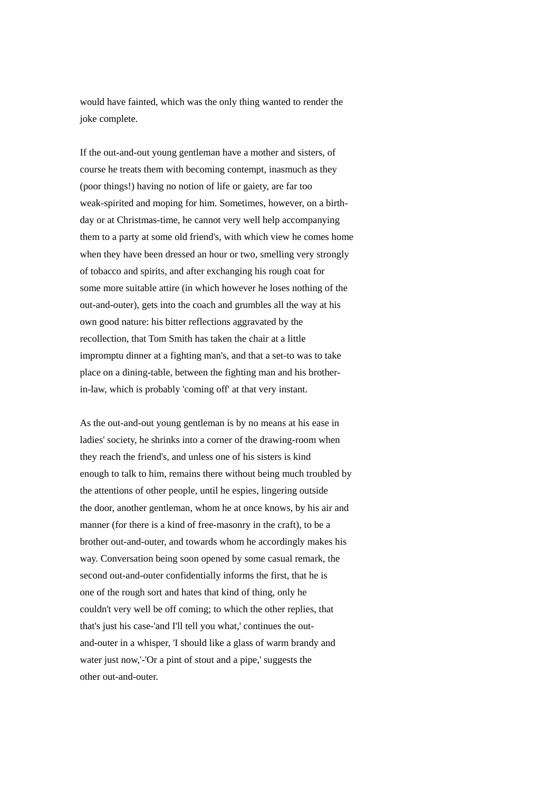would have fainted, which was the only thing wanted to render the joke complete.

If the out-and-out young gentleman have a mother and sisters, of course he treats them with becoming contempt, inasmuch as they (poor things!) having no notion of life or gaiety, are far too weak-spirited and moping for him. Sometimes, however, on a birthday or at Christmas-time, he cannot very well help accompanying them to a party at some old friend's, with which view he comes home when they have been dressed an hour or two, smelling very strongly of tobacco and spirits, and after exchanging his rough coat for some more suitable attire (in which however he loses nothing of the out-and-outer), gets into the coach and grumbles all the way at his own good nature: his bitter reflections aggravated by the recollection, that Tom Smith has taken the chair at a little impromptu dinner at a fighting man's, and that a set-to was to take place on a dining-table, between the fighting man and his brotherin-law, which is probably 'coming off' at that very instant.

As the out-and-out young gentleman is by no means at his ease in ladies' society, he shrinks into a corner of the drawing-room when they reach the friend's, and unless one of his sisters is kind enough to talk to him, remains there without being much troubled by the attentions of other people, until he espies, lingering outside the door, another gentleman, whom he at once knows, by his air and manner (for there is a kind of free-masonry in the craft), to be a brother out-and-outer, and towards whom he accordingly makes his way. Conversation being soon opened by some casual remark, the second out-and-outer confidentially informs the first, that he is one of the rough sort and hates that kind of thing, only he couldn't very well be off coming; to which the other replies, that that's just his case-'and I'll tell you what,' continues the outand-outer in a whisper, 'I should like a glass of warm brandy and water just now,'-'Or a pint of stout and a pipe,' suggests the other out-and-outer.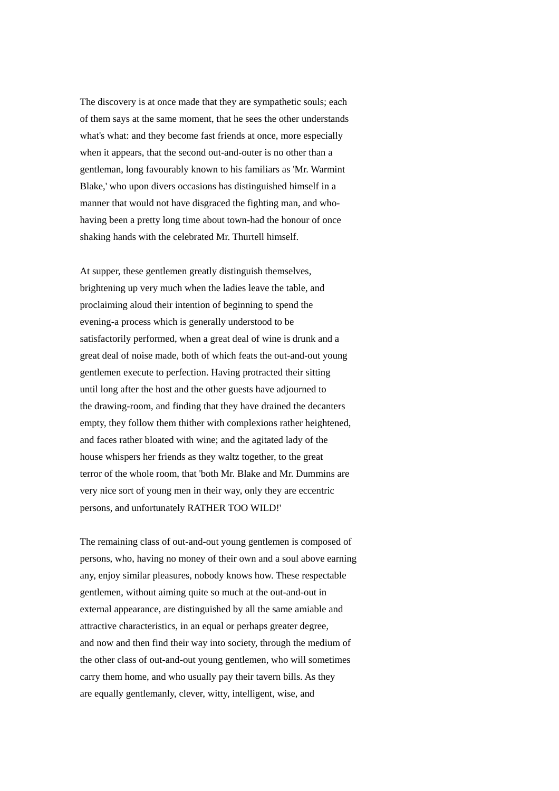The discovery is at once made that they are sympathetic souls; each of them says at the same moment, that he sees the other understands what's what: and they become fast friends at once, more especially when it appears, that the second out-and-outer is no other than a gentleman, long favourably known to his familiars as 'Mr. Warmint Blake,' who upon divers occasions has distinguished himself in a manner that would not have disgraced the fighting man, and whohaving been a pretty long time about town-had the honour of once shaking hands with the celebrated Mr. Thurtell himself.

At supper, these gentlemen greatly distinguish themselves, brightening up very much when the ladies leave the table, and proclaiming aloud their intention of beginning to spend the evening-a process which is generally understood to be satisfactorily performed, when a great deal of wine is drunk and a great deal of noise made, both of which feats the out-and-out young gentlemen execute to perfection. Having protracted their sitting until long after the host and the other guests have adjourned to the drawing-room, and finding that they have drained the decanters empty, they follow them thither with complexions rather heightened, and faces rather bloated with wine; and the agitated lady of the house whispers her friends as they waltz together, to the great terror of the whole room, that 'both Mr. Blake and Mr. Dummins are very nice sort of young men in their way, only they are eccentric persons, and unfortunately RATHER TOO WILD!'

The remaining class of out-and-out young gentlemen is composed of persons, who, having no money of their own and a soul above earning any, enjoy similar pleasures, nobody knows how. These respectable gentlemen, without aiming quite so much at the out-and-out in external appearance, are distinguished by all the same amiable and attractive characteristics, in an equal or perhaps greater degree, and now and then find their way into society, through the medium of the other class of out-and-out young gentlemen, who will sometimes carry them home, and who usually pay their tavern bills. As they are equally gentlemanly, clever, witty, intelligent, wise, and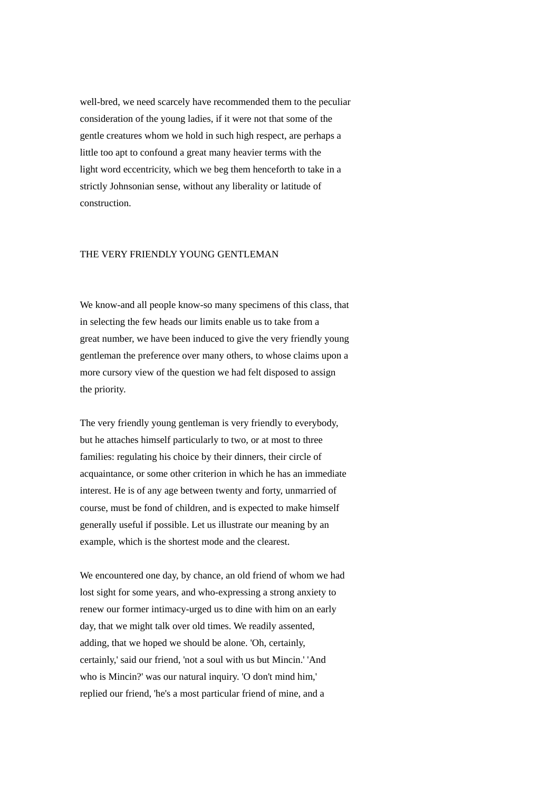well-bred, we need scarcely have recommended them to the peculiar consideration of the young ladies, if it were not that some of the gentle creatures whom we hold in such high respect, are perhaps a little too apt to confound a great many heavier terms with the light word eccentricity, which we beg them henceforth to take in a strictly Johnsonian sense, without any liberality or latitude of construction.

# THE VERY FRIENDLY YOUNG GENTLEMAN

We know-and all people know-so many specimens of this class, that in selecting the few heads our limits enable us to take from a great number, we have been induced to give the very friendly young gentleman the preference over many others, to whose claims upon a more cursory view of the question we had felt disposed to assign the priority.

The very friendly young gentleman is very friendly to everybody, but he attaches himself particularly to two, or at most to three families: regulating his choice by their dinners, their circle of acquaintance, or some other criterion in which he has an immediate interest. He is of any age between twenty and forty, unmarried of course, must be fond of children, and is expected to make himself generally useful if possible. Let us illustrate our meaning by an example, which is the shortest mode and the clearest.

We encountered one day, by chance, an old friend of whom we had lost sight for some years, and who-expressing a strong anxiety to renew our former intimacy-urged us to dine with him on an early day, that we might talk over old times. We readily assented, adding, that we hoped we should be alone. 'Oh, certainly, certainly,' said our friend, 'not a soul with us but Mincin.' 'And who is Mincin?' was our natural inquiry. 'O don't mind him,' replied our friend, 'he's a most particular friend of mine, and a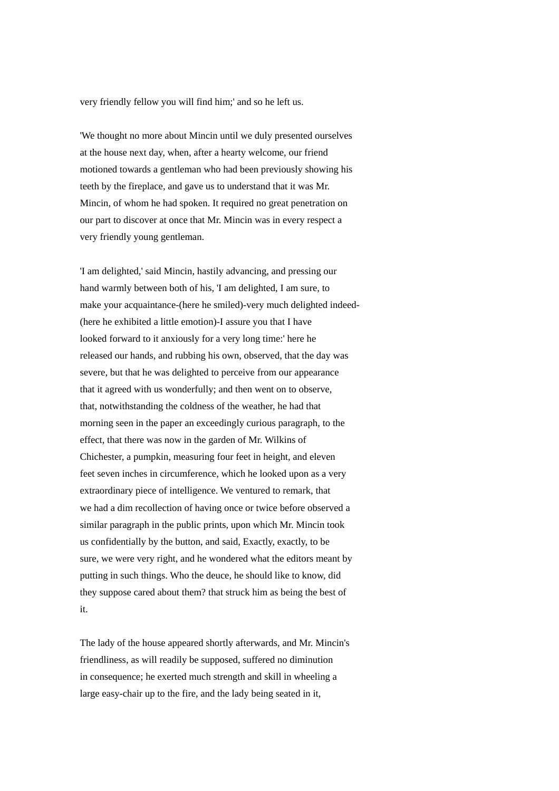very friendly fellow you will find him;' and so he left us.

'We thought no more about Mincin until we duly presented ourselves at the house next day, when, after a hearty welcome, our friend motioned towards a gentleman who had been previously showing his teeth by the fireplace, and gave us to understand that it was Mr. Mincin, of whom he had spoken. It required no great penetration on our part to discover at once that Mr. Mincin was in every respect a very friendly young gentleman.

'I am delighted,' said Mincin, hastily advancing, and pressing our hand warmly between both of his, 'I am delighted, I am sure, to make your acquaintance-(here he smiled)-very much delighted indeed- (here he exhibited a little emotion)-I assure you that I have looked forward to it anxiously for a very long time:' here he released our hands, and rubbing his own, observed, that the day was severe, but that he was delighted to perceive from our appearance that it agreed with us wonderfully; and then went on to observe, that, notwithstanding the coldness of the weather, he had that morning seen in the paper an exceedingly curious paragraph, to the effect, that there was now in the garden of Mr. Wilkins of Chichester, a pumpkin, measuring four feet in height, and eleven feet seven inches in circumference, which he looked upon as a very extraordinary piece of intelligence. We ventured to remark, that we had a dim recollection of having once or twice before observed a similar paragraph in the public prints, upon which Mr. Mincin took us confidentially by the button, and said, Exactly, exactly, to be sure, we were very right, and he wondered what the editors meant by putting in such things. Who the deuce, he should like to know, did they suppose cared about them? that struck him as being the best of it.

The lady of the house appeared shortly afterwards, and Mr. Mincin's friendliness, as will readily be supposed, suffered no diminution in consequence; he exerted much strength and skill in wheeling a large easy-chair up to the fire, and the lady being seated in it,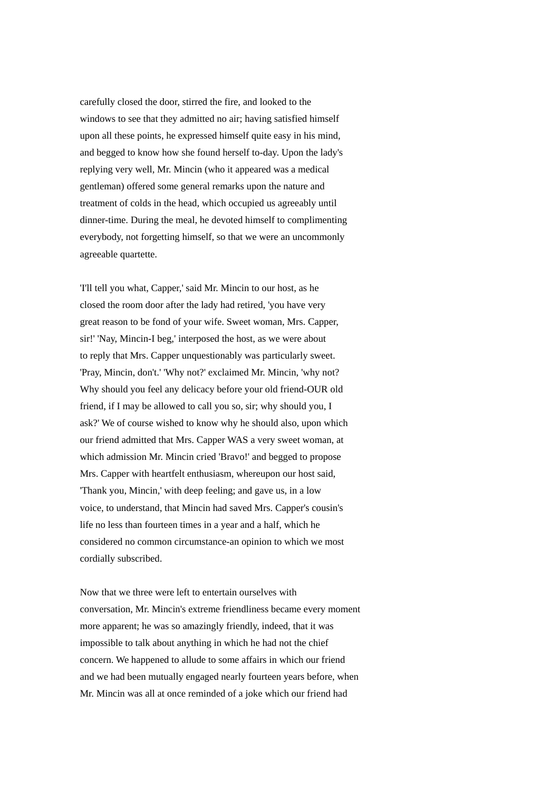carefully closed the door, stirred the fire, and looked to the windows to see that they admitted no air; having satisfied himself upon all these points, he expressed himself quite easy in his mind, and begged to know how she found herself to-day. Upon the lady's replying very well, Mr. Mincin (who it appeared was a medical gentleman) offered some general remarks upon the nature and treatment of colds in the head, which occupied us agreeably until dinner-time. During the meal, he devoted himself to complimenting everybody, not forgetting himself, so that we were an uncommonly agreeable quartette.

'I'll tell you what, Capper,' said Mr. Mincin to our host, as he closed the room door after the lady had retired, 'you have very great reason to be fond of your wife. Sweet woman, Mrs. Capper, sir!' 'Nay, Mincin-I beg,' interposed the host, as we were about to reply that Mrs. Capper unquestionably was particularly sweet. 'Pray, Mincin, don't.' 'Why not?' exclaimed Mr. Mincin, 'why not? Why should you feel any delicacy before your old friend-OUR old friend, if I may be allowed to call you so, sir; why should you, I ask?' We of course wished to know why he should also, upon which our friend admitted that Mrs. Capper WAS a very sweet woman, at which admission Mr. Mincin cried 'Bravo!' and begged to propose Mrs. Capper with heartfelt enthusiasm, whereupon our host said, 'Thank you, Mincin,' with deep feeling; and gave us, in a low voice, to understand, that Mincin had saved Mrs. Capper's cousin's life no less than fourteen times in a year and a half, which he considered no common circumstance-an opinion to which we most cordially subscribed.

Now that we three were left to entertain ourselves with conversation, Mr. Mincin's extreme friendliness became every moment more apparent; he was so amazingly friendly, indeed, that it was impossible to talk about anything in which he had not the chief concern. We happened to allude to some affairs in which our friend and we had been mutually engaged nearly fourteen years before, when Mr. Mincin was all at once reminded of a joke which our friend had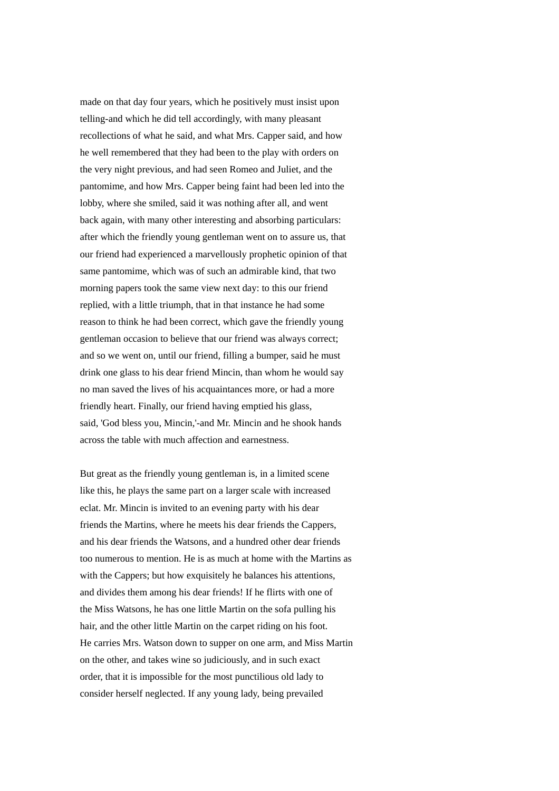made on that day four years, which he positively must insist upon telling-and which he did tell accordingly, with many pleasant recollections of what he said, and what Mrs. Capper said, and how he well remembered that they had been to the play with orders on the very night previous, and had seen Romeo and Juliet, and the pantomime, and how Mrs. Capper being faint had been led into the lobby, where she smiled, said it was nothing after all, and went back again, with many other interesting and absorbing particulars: after which the friendly young gentleman went on to assure us, that our friend had experienced a marvellously prophetic opinion of that same pantomime, which was of such an admirable kind, that two morning papers took the same view next day: to this our friend replied, with a little triumph, that in that instance he had some reason to think he had been correct, which gave the friendly young gentleman occasion to believe that our friend was always correct; and so we went on, until our friend, filling a bumper, said he must drink one glass to his dear friend Mincin, than whom he would say no man saved the lives of his acquaintances more, or had a more friendly heart. Finally, our friend having emptied his glass, said, 'God bless you, Mincin,'-and Mr. Mincin and he shook hands across the table with much affection and earnestness.

But great as the friendly young gentleman is, in a limited scene like this, he plays the same part on a larger scale with increased eclat. Mr. Mincin is invited to an evening party with his dear friends the Martins, where he meets his dear friends the Cappers, and his dear friends the Watsons, and a hundred other dear friends too numerous to mention. He is as much at home with the Martins as with the Cappers; but how exquisitely he balances his attentions, and divides them among his dear friends! If he flirts with one of the Miss Watsons, he has one little Martin on the sofa pulling his hair, and the other little Martin on the carpet riding on his foot. He carries Mrs. Watson down to supper on one arm, and Miss Martin on the other, and takes wine so judiciously, and in such exact order, that it is impossible for the most punctilious old lady to consider herself neglected. If any young lady, being prevailed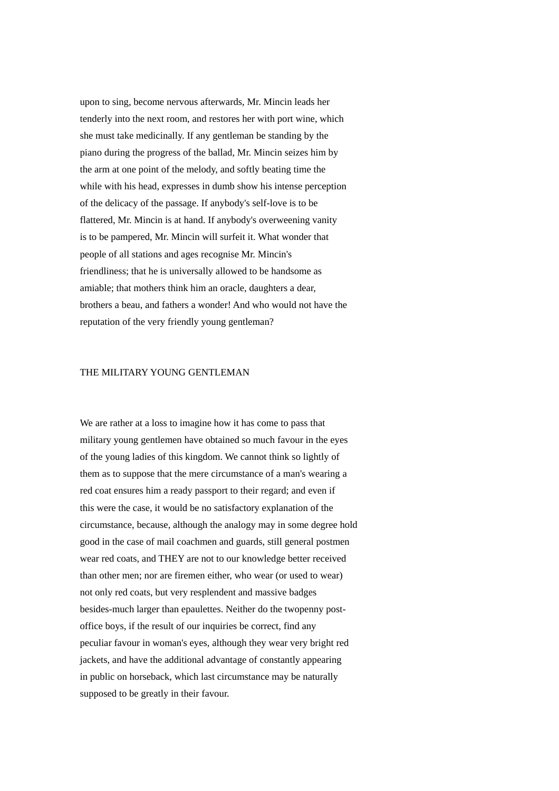upon to sing, become nervous afterwards, Mr. Mincin leads her tenderly into the next room, and restores her with port wine, which she must take medicinally. If any gentleman be standing by the piano during the progress of the ballad, Mr. Mincin seizes him by the arm at one point of the melody, and softly beating time the while with his head, expresses in dumb show his intense perception of the delicacy of the passage. If anybody's self-love is to be flattered, Mr. Mincin is at hand. If anybody's overweening vanity is to be pampered, Mr. Mincin will surfeit it. What wonder that people of all stations and ages recognise Mr. Mincin's friendliness; that he is universally allowed to be handsome as amiable; that mothers think him an oracle, daughters a dear, brothers a beau, and fathers a wonder! And who would not have the reputation of the very friendly young gentleman?

#### THE MILITARY YOUNG GENTLEMAN

We are rather at a loss to imagine how it has come to pass that military young gentlemen have obtained so much favour in the eyes of the young ladies of this kingdom. We cannot think so lightly of them as to suppose that the mere circumstance of a man's wearing a red coat ensures him a ready passport to their regard; and even if this were the case, it would be no satisfactory explanation of the circumstance, because, although the analogy may in some degree hold good in the case of mail coachmen and guards, still general postmen wear red coats, and THEY are not to our knowledge better received than other men; nor are firemen either, who wear (or used to wear) not only red coats, but very resplendent and massive badges besides-much larger than epaulettes. Neither do the twopenny postoffice boys, if the result of our inquiries be correct, find any peculiar favour in woman's eyes, although they wear very bright red jackets, and have the additional advantage of constantly appearing in public on horseback, which last circumstance may be naturally supposed to be greatly in their favour.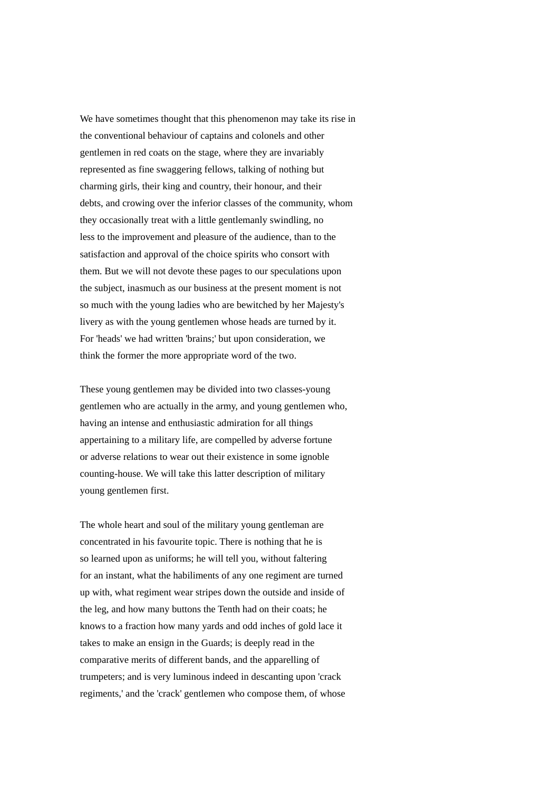We have sometimes thought that this phenomenon may take its rise in the conventional behaviour of captains and colonels and other gentlemen in red coats on the stage, where they are invariably represented as fine swaggering fellows, talking of nothing but charming girls, their king and country, their honour, and their debts, and crowing over the inferior classes of the community, whom they occasionally treat with a little gentlemanly swindling, no less to the improvement and pleasure of the audience, than to the satisfaction and approval of the choice spirits who consort with them. But we will not devote these pages to our speculations upon the subject, inasmuch as our business at the present moment is not so much with the young ladies who are bewitched by her Majesty's livery as with the young gentlemen whose heads are turned by it. For 'heads' we had written 'brains;' but upon consideration, we think the former the more appropriate word of the two.

These young gentlemen may be divided into two classes-young gentlemen who are actually in the army, and young gentlemen who, having an intense and enthusiastic admiration for all things appertaining to a military life, are compelled by adverse fortune or adverse relations to wear out their existence in some ignoble counting-house. We will take this latter description of military young gentlemen first.

The whole heart and soul of the military young gentleman are concentrated in his favourite topic. There is nothing that he is so learned upon as uniforms; he will tell you, without faltering for an instant, what the habiliments of any one regiment are turned up with, what regiment wear stripes down the outside and inside of the leg, and how many buttons the Tenth had on their coats; he knows to a fraction how many yards and odd inches of gold lace it takes to make an ensign in the Guards; is deeply read in the comparative merits of different bands, and the apparelling of trumpeters; and is very luminous indeed in descanting upon 'crack regiments,' and the 'crack' gentlemen who compose them, of whose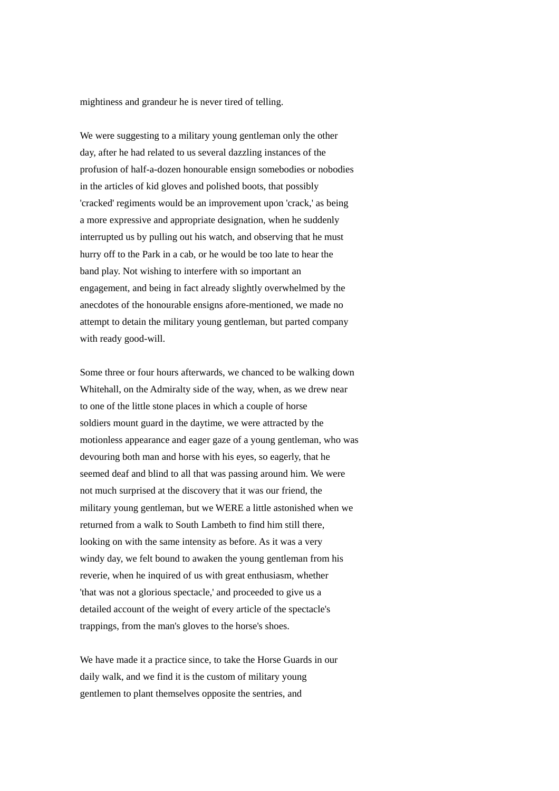mightiness and grandeur he is never tired of telling.

We were suggesting to a military young gentleman only the other day, after he had related to us several dazzling instances of the profusion of half-a-dozen honourable ensign somebodies or nobodies in the articles of kid gloves and polished boots, that possibly 'cracked' regiments would be an improvement upon 'crack,' as being a more expressive and appropriate designation, when he suddenly interrupted us by pulling out his watch, and observing that he must hurry off to the Park in a cab, or he would be too late to hear the band play. Not wishing to interfere with so important an engagement, and being in fact already slightly overwhelmed by the anecdotes of the honourable ensigns afore-mentioned, we made no attempt to detain the military young gentleman, but parted company with ready good-will.

Some three or four hours afterwards, we chanced to be walking down Whitehall, on the Admiralty side of the way, when, as we drew near to one of the little stone places in which a couple of horse soldiers mount guard in the daytime, we were attracted by the motionless appearance and eager gaze of a young gentleman, who was devouring both man and horse with his eyes, so eagerly, that he seemed deaf and blind to all that was passing around him. We were not much surprised at the discovery that it was our friend, the military young gentleman, but we WERE a little astonished when we returned from a walk to South Lambeth to find him still there, looking on with the same intensity as before. As it was a very windy day, we felt bound to awaken the young gentleman from his reverie, when he inquired of us with great enthusiasm, whether 'that was not a glorious spectacle,' and proceeded to give us a detailed account of the weight of every article of the spectacle's trappings, from the man's gloves to the horse's shoes.

We have made it a practice since, to take the Horse Guards in our daily walk, and we find it is the custom of military young gentlemen to plant themselves opposite the sentries, and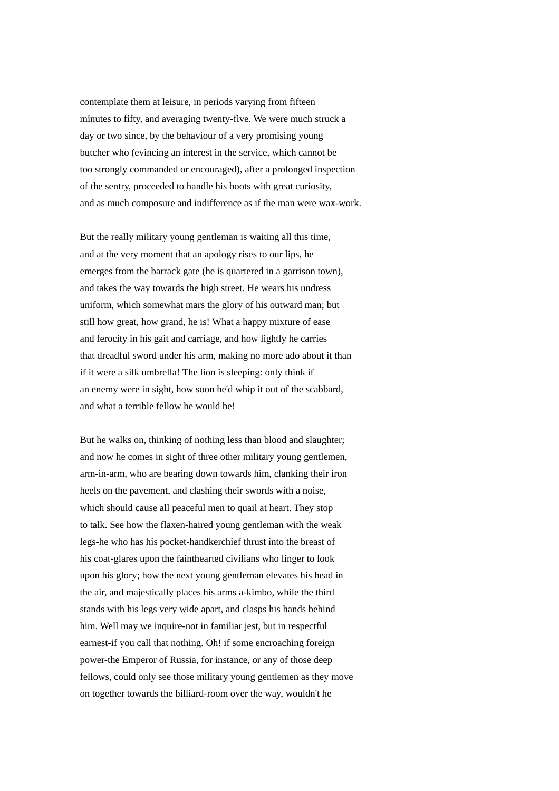contemplate them at leisure, in periods varying from fifteen minutes to fifty, and averaging twenty-five. We were much struck a day or two since, by the behaviour of a very promising young butcher who (evincing an interest in the service, which cannot be too strongly commanded or encouraged), after a prolonged inspection of the sentry, proceeded to handle his boots with great curiosity, and as much composure and indifference as if the man were wax-work.

But the really military young gentleman is waiting all this time, and at the very moment that an apology rises to our lips, he emerges from the barrack gate (he is quartered in a garrison town), and takes the way towards the high street. He wears his undress uniform, which somewhat mars the glory of his outward man; but still how great, how grand, he is! What a happy mixture of ease and ferocity in his gait and carriage, and how lightly he carries that dreadful sword under his arm, making no more ado about it than if it were a silk umbrella! The lion is sleeping: only think if an enemy were in sight, how soon he'd whip it out of the scabbard, and what a terrible fellow he would be!

But he walks on, thinking of nothing less than blood and slaughter; and now he comes in sight of three other military young gentlemen, arm-in-arm, who are bearing down towards him, clanking their iron heels on the pavement, and clashing their swords with a noise, which should cause all peaceful men to quail at heart. They stop to talk. See how the flaxen-haired young gentleman with the weak legs-he who has his pocket-handkerchief thrust into the breast of his coat-glares upon the fainthearted civilians who linger to look upon his glory; how the next young gentleman elevates his head in the air, and majestically places his arms a-kimbo, while the third stands with his legs very wide apart, and clasps his hands behind him. Well may we inquire-not in familiar jest, but in respectful earnest-if you call that nothing. Oh! if some encroaching foreign power-the Emperor of Russia, for instance, or any of those deep fellows, could only see those military young gentlemen as they move on together towards the billiard-room over the way, wouldn't he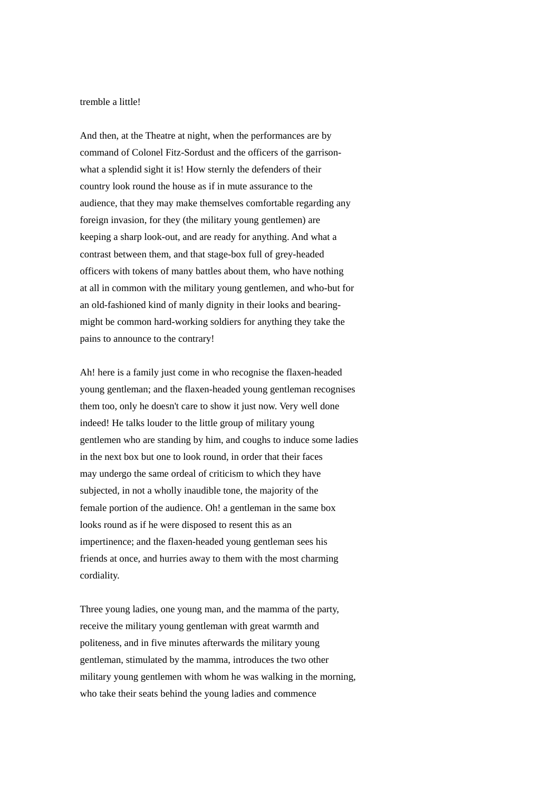#### tremble a little!

And then, at the Theatre at night, when the performances are by command of Colonel Fitz-Sordust and the officers of the garrisonwhat a splendid sight it is! How sternly the defenders of their country look round the house as if in mute assurance to the audience, that they may make themselves comfortable regarding any foreign invasion, for they (the military young gentlemen) are keeping a sharp look-out, and are ready for anything. And what a contrast between them, and that stage-box full of grey-headed officers with tokens of many battles about them, who have nothing at all in common with the military young gentlemen, and who-but for an old-fashioned kind of manly dignity in their looks and bearingmight be common hard-working soldiers for anything they take the pains to announce to the contrary!

Ah! here is a family just come in who recognise the flaxen-headed young gentleman; and the flaxen-headed young gentleman recognises them too, only he doesn't care to show it just now. Very well done indeed! He talks louder to the little group of military young gentlemen who are standing by him, and coughs to induce some ladies in the next box but one to look round, in order that their faces may undergo the same ordeal of criticism to which they have subjected, in not a wholly inaudible tone, the majority of the female portion of the audience. Oh! a gentleman in the same box looks round as if he were disposed to resent this as an impertinence; and the flaxen-headed young gentleman sees his friends at once, and hurries away to them with the most charming cordiality.

Three young ladies, one young man, and the mamma of the party, receive the military young gentleman with great warmth and politeness, and in five minutes afterwards the military young gentleman, stimulated by the mamma, introduces the two other military young gentlemen with whom he was walking in the morning, who take their seats behind the young ladies and commence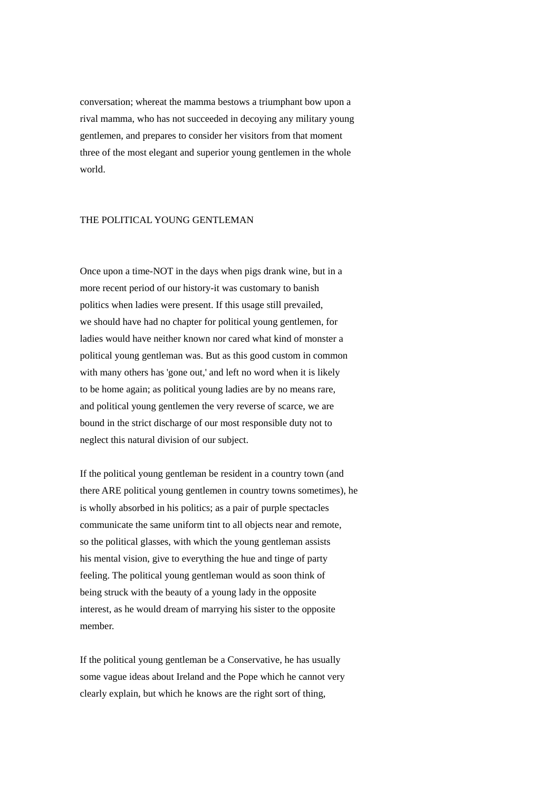conversation; whereat the mamma bestows a triumphant bow upon a rival mamma, who has not succeeded in decoying any military young gentlemen, and prepares to consider her visitors from that moment three of the most elegant and superior young gentlemen in the whole world.

### THE POLITICAL YOUNG GENTLEMAN

Once upon a time-NOT in the days when pigs drank wine, but in a more recent period of our history-it was customary to banish politics when ladies were present. If this usage still prevailed, we should have had no chapter for political young gentlemen, for ladies would have neither known nor cared what kind of monster a political young gentleman was. But as this good custom in common with many others has 'gone out,' and left no word when it is likely to be home again; as political young ladies are by no means rare, and political young gentlemen the very reverse of scarce, we are bound in the strict discharge of our most responsible duty not to neglect this natural division of our subject.

If the political young gentleman be resident in a country town (and there ARE political young gentlemen in country towns sometimes), he is wholly absorbed in his politics; as a pair of purple spectacles communicate the same uniform tint to all objects near and remote, so the political glasses, with which the young gentleman assists his mental vision, give to everything the hue and tinge of party feeling. The political young gentleman would as soon think of being struck with the beauty of a young lady in the opposite interest, as he would dream of marrying his sister to the opposite member.

If the political young gentleman be a Conservative, he has usually some vague ideas about Ireland and the Pope which he cannot very clearly explain, but which he knows are the right sort of thing,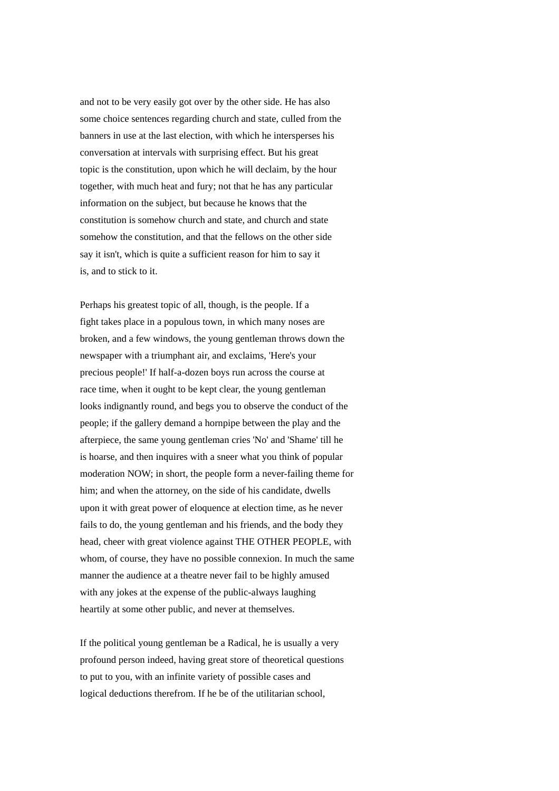and not to be very easily got over by the other side. He has also some choice sentences regarding church and state, culled from the banners in use at the last election, with which he intersperses his conversation at intervals with surprising effect. But his great topic is the constitution, upon which he will declaim, by the hour together, with much heat and fury; not that he has any particular information on the subject, but because he knows that the constitution is somehow church and state, and church and state somehow the constitution, and that the fellows on the other side say it isn't, which is quite a sufficient reason for him to say it is, and to stick to it.

Perhaps his greatest topic of all, though, is the people. If a fight takes place in a populous town, in which many noses are broken, and a few windows, the young gentleman throws down the newspaper with a triumphant air, and exclaims, 'Here's your precious people!' If half-a-dozen boys run across the course at race time, when it ought to be kept clear, the young gentleman looks indignantly round, and begs you to observe the conduct of the people; if the gallery demand a hornpipe between the play and the afterpiece, the same young gentleman cries 'No' and 'Shame' till he is hoarse, and then inquires with a sneer what you think of popular moderation NOW; in short, the people form a never-failing theme for him; and when the attorney, on the side of his candidate, dwells upon it with great power of eloquence at election time, as he never fails to do, the young gentleman and his friends, and the body they head, cheer with great violence against THE OTHER PEOPLE, with whom, of course, they have no possible connexion. In much the same manner the audience at a theatre never fail to be highly amused with any jokes at the expense of the public-always laughing heartily at some other public, and never at themselves.

If the political young gentleman be a Radical, he is usually a very profound person indeed, having great store of theoretical questions to put to you, with an infinite variety of possible cases and logical deductions therefrom. If he be of the utilitarian school,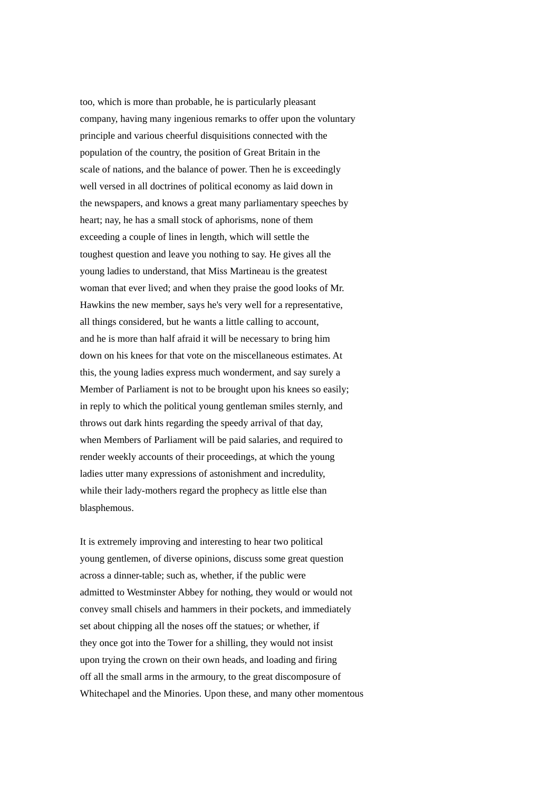too, which is more than probable, he is particularly pleasant company, having many ingenious remarks to offer upon the voluntary principle and various cheerful disquisitions connected with the population of the country, the position of Great Britain in the scale of nations, and the balance of power. Then he is exceedingly well versed in all doctrines of political economy as laid down in the newspapers, and knows a great many parliamentary speeches by heart; nay, he has a small stock of aphorisms, none of them exceeding a couple of lines in length, which will settle the toughest question and leave you nothing to say. He gives all the young ladies to understand, that Miss Martineau is the greatest woman that ever lived; and when they praise the good looks of Mr. Hawkins the new member, says he's very well for a representative, all things considered, but he wants a little calling to account, and he is more than half afraid it will be necessary to bring him down on his knees for that vote on the miscellaneous estimates. At this, the young ladies express much wonderment, and say surely a Member of Parliament is not to be brought upon his knees so easily; in reply to which the political young gentleman smiles sternly, and throws out dark hints regarding the speedy arrival of that day, when Members of Parliament will be paid salaries, and required to render weekly accounts of their proceedings, at which the young ladies utter many expressions of astonishment and incredulity, while their lady-mothers regard the prophecy as little else than blasphemous.

It is extremely improving and interesting to hear two political young gentlemen, of diverse opinions, discuss some great question across a dinner-table; such as, whether, if the public were admitted to Westminster Abbey for nothing, they would or would not convey small chisels and hammers in their pockets, and immediately set about chipping all the noses off the statues; or whether, if they once got into the Tower for a shilling, they would not insist upon trying the crown on their own heads, and loading and firing off all the small arms in the armoury, to the great discomposure of Whitechapel and the Minories. Upon these, and many other momentous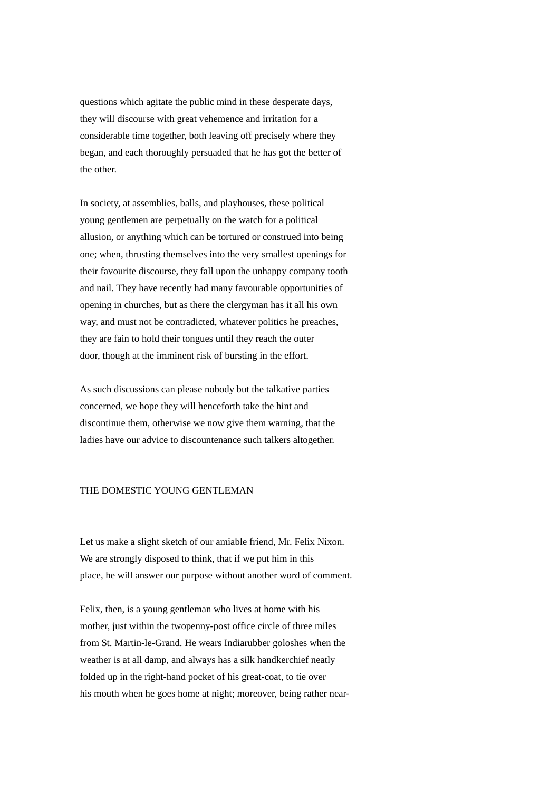questions which agitate the public mind in these desperate days, they will discourse with great vehemence and irritation for a considerable time together, both leaving off precisely where they began, and each thoroughly persuaded that he has got the better of the other.

In society, at assemblies, balls, and playhouses, these political young gentlemen are perpetually on the watch for a political allusion, or anything which can be tortured or construed into being one; when, thrusting themselves into the very smallest openings for their favourite discourse, they fall upon the unhappy company tooth and nail. They have recently had many favourable opportunities of opening in churches, but as there the clergyman has it all his own way, and must not be contradicted, whatever politics he preaches, they are fain to hold their tongues until they reach the outer door, though at the imminent risk of bursting in the effort.

As such discussions can please nobody but the talkative parties concerned, we hope they will henceforth take the hint and discontinue them, otherwise we now give them warning, that the ladies have our advice to discountenance such talkers altogether.

# THE DOMESTIC YOUNG GENTLEMAN

Let us make a slight sketch of our amiable friend, Mr. Felix Nixon. We are strongly disposed to think, that if we put him in this place, he will answer our purpose without another word of comment.

Felix, then, is a young gentleman who lives at home with his mother, just within the twopenny-post office circle of three miles from St. Martin-le-Grand. He wears Indiarubber goloshes when the weather is at all damp, and always has a silk handkerchief neatly folded up in the right-hand pocket of his great-coat, to tie over his mouth when he goes home at night; moreover, being rather near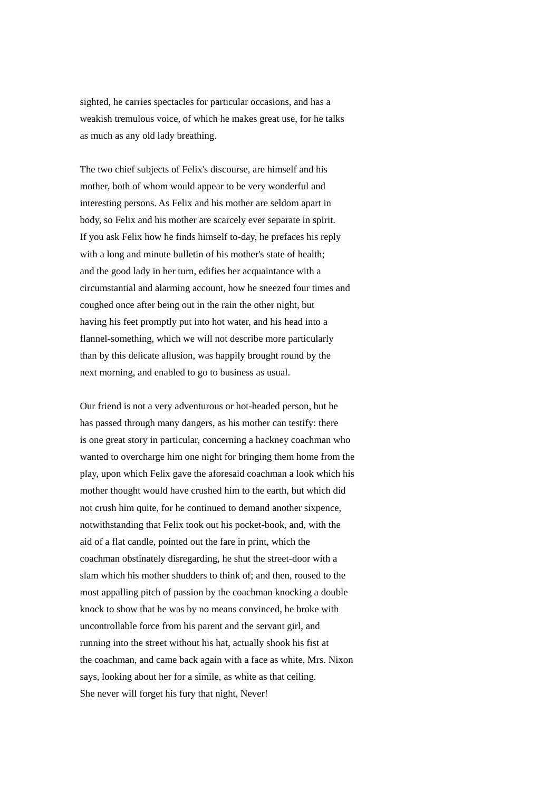sighted, he carries spectacles for particular occasions, and has a weakish tremulous voice, of which he makes great use, for he talks as much as any old lady breathing.

The two chief subjects of Felix's discourse, are himself and his mother, both of whom would appear to be very wonderful and interesting persons. As Felix and his mother are seldom apart in body, so Felix and his mother are scarcely ever separate in spirit. If you ask Felix how he finds himself to-day, he prefaces his reply with a long and minute bulletin of his mother's state of health: and the good lady in her turn, edifies her acquaintance with a circumstantial and alarming account, how he sneezed four times and coughed once after being out in the rain the other night, but having his feet promptly put into hot water, and his head into a flannel-something, which we will not describe more particularly than by this delicate allusion, was happily brought round by the next morning, and enabled to go to business as usual.

Our friend is not a very adventurous or hot-headed person, but he has passed through many dangers, as his mother can testify: there is one great story in particular, concerning a hackney coachman who wanted to overcharge him one night for bringing them home from the play, upon which Felix gave the aforesaid coachman a look which his mother thought would have crushed him to the earth, but which did not crush him quite, for he continued to demand another sixpence, notwithstanding that Felix took out his pocket-book, and, with the aid of a flat candle, pointed out the fare in print, which the coachman obstinately disregarding, he shut the street-door with a slam which his mother shudders to think of; and then, roused to the most appalling pitch of passion by the coachman knocking a double knock to show that he was by no means convinced, he broke with uncontrollable force from his parent and the servant girl, and running into the street without his hat, actually shook his fist at the coachman, and came back again with a face as white, Mrs. Nixon says, looking about her for a simile, as white as that ceiling. She never will forget his fury that night, Never!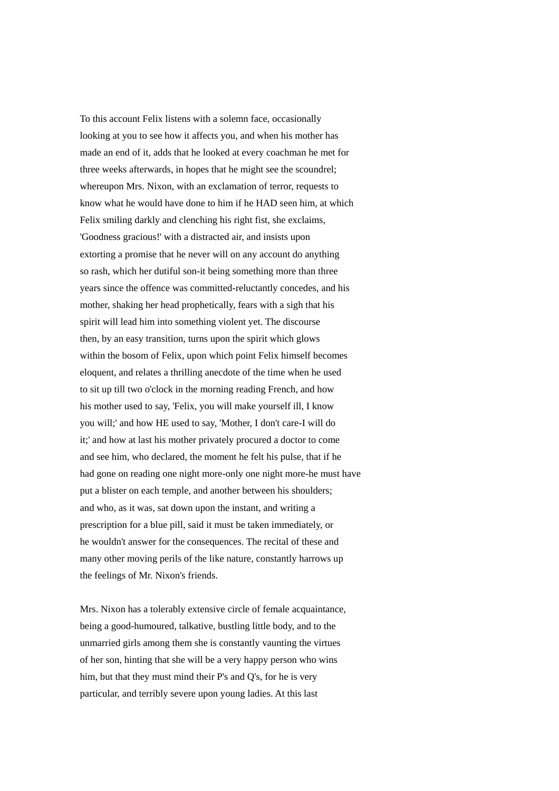To this account Felix listens with a solemn face, occasionally looking at you to see how it affects you, and when his mother has made an end of it, adds that he looked at every coachman he met for three weeks afterwards, in hopes that he might see the scoundrel; whereupon Mrs. Nixon, with an exclamation of terror, requests to know what he would have done to him if he HAD seen him, at which Felix smiling darkly and clenching his right fist, she exclaims, 'Goodness gracious!' with a distracted air, and insists upon extorting a promise that he never will on any account do anything so rash, which her dutiful son-it being something more than three years since the offence was committed-reluctantly concedes, and his mother, shaking her head prophetically, fears with a sigh that his spirit will lead him into something violent yet. The discourse then, by an easy transition, turns upon the spirit which glows within the bosom of Felix, upon which point Felix himself becomes eloquent, and relates a thrilling anecdote of the time when he used to sit up till two o'clock in the morning reading French, and how his mother used to say, 'Felix, you will make yourself ill, I know you will;' and how HE used to say, 'Mother, I don't care-I will do it;' and how at last his mother privately procured a doctor to come and see him, who declared, the moment he felt his pulse, that if he had gone on reading one night more-only one night more-he must have put a blister on each temple, and another between his shoulders; and who, as it was, sat down upon the instant, and writing a prescription for a blue pill, said it must be taken immediately, or he wouldn't answer for the consequences. The recital of these and many other moving perils of the like nature, constantly harrows up the feelings of Mr. Nixon's friends.

Mrs. Nixon has a tolerably extensive circle of female acquaintance, being a good-humoured, talkative, bustling little body, and to the unmarried girls among them she is constantly vaunting the virtues of her son, hinting that she will be a very happy person who wins him, but that they must mind their P's and Q's, for he is very particular, and terribly severe upon young ladies. At this last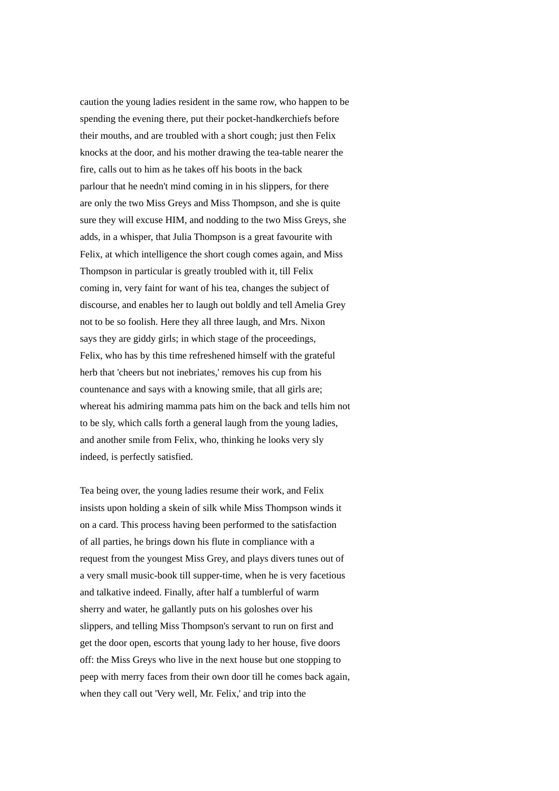caution the young ladies resident in the same row, who happen to be spending the evening there, put their pocket-handkerchiefs before their mouths, and are troubled with a short cough; just then Felix knocks at the door, and his mother drawing the tea-table nearer the fire, calls out to him as he takes off his boots in the back parlour that he needn't mind coming in in his slippers, for there are only the two Miss Greys and Miss Thompson, and she is quite sure they will excuse HIM, and nodding to the two Miss Greys, she adds, in a whisper, that Julia Thompson is a great favourite with Felix, at which intelligence the short cough comes again, and Miss Thompson in particular is greatly troubled with it, till Felix coming in, very faint for want of his tea, changes the subject of discourse, and enables her to laugh out boldly and tell Amelia Grey not to be so foolish. Here they all three laugh, and Mrs. Nixon says they are giddy girls; in which stage of the proceedings, Felix, who has by this time refreshened himself with the grateful herb that 'cheers but not inebriates,' removes his cup from his countenance and says with a knowing smile, that all girls are; whereat his admiring mamma pats him on the back and tells him not to be sly, which calls forth a general laugh from the young ladies, and another smile from Felix, who, thinking he looks very sly indeed, is perfectly satisfied.

Tea being over, the young ladies resume their work, and Felix insists upon holding a skein of silk while Miss Thompson winds it on a card. This process having been performed to the satisfaction of all parties, he brings down his flute in compliance with a request from the youngest Miss Grey, and plays divers tunes out of a very small music-book till supper-time, when he is very facetious and talkative indeed. Finally, after half a tumblerful of warm sherry and water, he gallantly puts on his goloshes over his slippers, and telling Miss Thompson's servant to run on first and get the door open, escorts that young lady to her house, five doors off: the Miss Greys who live in the next house but one stopping to peep with merry faces from their own door till he comes back again, when they call out 'Very well, Mr. Felix,' and trip into the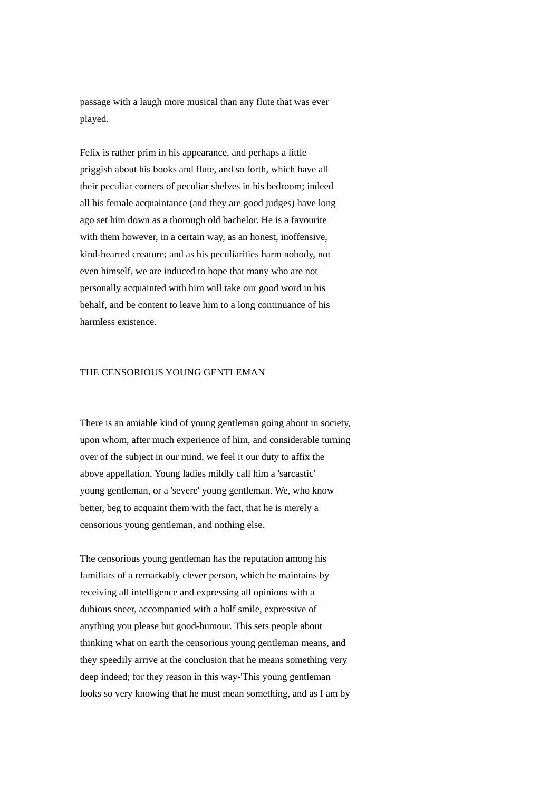passage with a laugh more musical than any flute that was ever played.

Felix is rather prim in his appearance, and perhaps a little priggish about his books and flute, and so forth, which have all their peculiar corners of peculiar shelves in his bedroom; indeed all his female acquaintance (and they are good judges) have long ago set him down as a thorough old bachelor. He is a favourite with them however, in a certain way, as an honest, inoffensive, kind-hearted creature; and as his peculiarities harm nobody, not even himself, we are induced to hope that many who are not personally acquainted with him will take our good word in his behalf, and be content to leave him to a long continuance of his harmless existence.

#### THE CENSORIOUS YOUNG GENTLEMAN

There is an amiable kind of young gentleman going about in society, upon whom, after much experience of him, and considerable turning over of the subject in our mind, we feel it our duty to affix the above appellation. Young ladies mildly call him a 'sarcastic' young gentleman, or a 'severe' young gentleman. We, who know better, beg to acquaint them with the fact, that he is merely a censorious young gentleman, and nothing else.

The censorious young gentleman has the reputation among his familiars of a remarkably clever person, which he maintains by receiving all intelligence and expressing all opinions with a dubious sneer, accompanied with a half smile, expressive of anything you please but good-humour. This sets people about thinking what on earth the censorious young gentleman means, and they speedily arrive at the conclusion that he means something very deep indeed; for they reason in this way-'This young gentleman looks so very knowing that he must mean something, and as I am by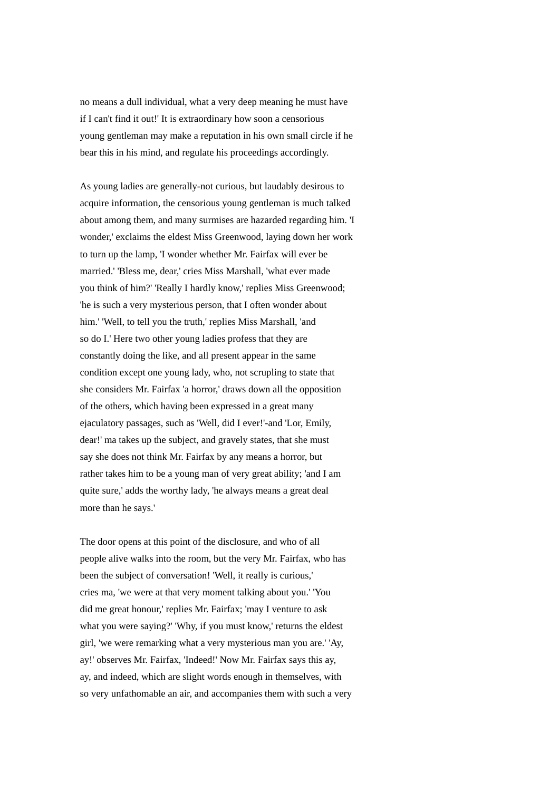no means a dull individual, what a very deep meaning he must have if I can't find it out!' It is extraordinary how soon a censorious young gentleman may make a reputation in his own small circle if he bear this in his mind, and regulate his proceedings accordingly.

As young ladies are generally-not curious, but laudably desirous to acquire information, the censorious young gentleman is much talked about among them, and many surmises are hazarded regarding him. 'I wonder,' exclaims the eldest Miss Greenwood, laying down her work to turn up the lamp, 'I wonder whether Mr. Fairfax will ever be married.' 'Bless me, dear,' cries Miss Marshall, 'what ever made you think of him?' 'Really I hardly know,' replies Miss Greenwood; 'he is such a very mysterious person, that I often wonder about him.' 'Well, to tell you the truth,' replies Miss Marshall, 'and so do I.' Here two other young ladies profess that they are constantly doing the like, and all present appear in the same condition except one young lady, who, not scrupling to state that she considers Mr. Fairfax 'a horror,' draws down all the opposition of the others, which having been expressed in a great many ejaculatory passages, such as 'Well, did I ever!'-and 'Lor, Emily, dear!' ma takes up the subject, and gravely states, that she must say she does not think Mr. Fairfax by any means a horror, but rather takes him to be a young man of very great ability; 'and I am quite sure,' adds the worthy lady, 'he always means a great deal more than he says.'

The door opens at this point of the disclosure, and who of all people alive walks into the room, but the very Mr. Fairfax, who has been the subject of conversation! 'Well, it really is curious,' cries ma, 'we were at that very moment talking about you.' 'You did me great honour,' replies Mr. Fairfax; 'may I venture to ask what you were saying?' 'Why, if you must know,' returns the eldest girl, 'we were remarking what a very mysterious man you are.' 'Ay, ay!' observes Mr. Fairfax, 'Indeed!' Now Mr. Fairfax says this ay, ay, and indeed, which are slight words enough in themselves, with so very unfathomable an air, and accompanies them with such a very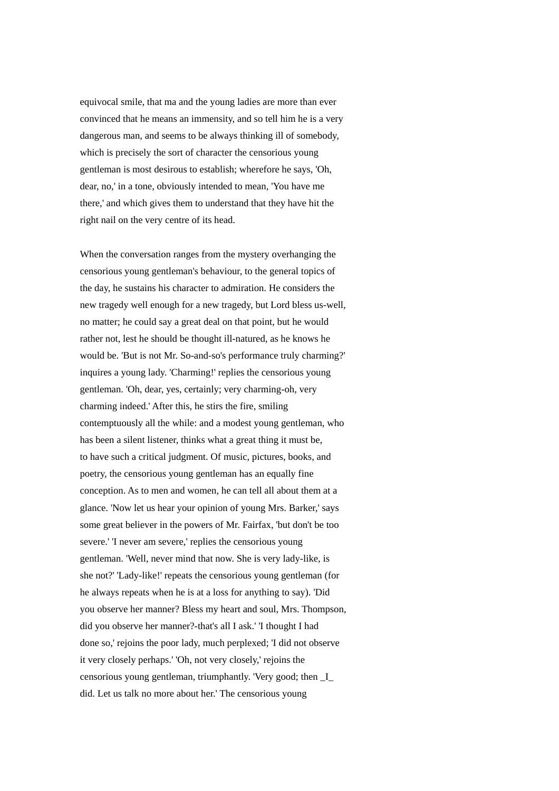equivocal smile, that ma and the young ladies are more than ever convinced that he means an immensity, and so tell him he is a very dangerous man, and seems to be always thinking ill of somebody, which is precisely the sort of character the censorious young gentleman is most desirous to establish; wherefore he says, 'Oh, dear, no,' in a tone, obviously intended to mean, 'You have me there,' and which gives them to understand that they have hit the right nail on the very centre of its head.

When the conversation ranges from the mystery overhanging the censorious young gentleman's behaviour, to the general topics of the day, he sustains his character to admiration. He considers the new tragedy well enough for a new tragedy, but Lord bless us-well, no matter; he could say a great deal on that point, but he would rather not, lest he should be thought ill-natured, as he knows he would be. 'But is not Mr. So-and-so's performance truly charming?' inquires a young lady. 'Charming!' replies the censorious young gentleman. 'Oh, dear, yes, certainly; very charming-oh, very charming indeed.' After this, he stirs the fire, smiling contemptuously all the while: and a modest young gentleman, who has been a silent listener, thinks what a great thing it must be, to have such a critical judgment. Of music, pictures, books, and poetry, the censorious young gentleman has an equally fine conception. As to men and women, he can tell all about them at a glance. 'Now let us hear your opinion of young Mrs. Barker,' says some great believer in the powers of Mr. Fairfax, 'but don't be too severe.' 'I never am severe,' replies the censorious young gentleman. 'Well, never mind that now. She is very lady-like, is she not?' 'Lady-like!' repeats the censorious young gentleman (for he always repeats when he is at a loss for anything to say). 'Did you observe her manner? Bless my heart and soul, Mrs. Thompson, did you observe her manner?-that's all I ask.' 'I thought I had done so,' rejoins the poor lady, much perplexed; 'I did not observe it very closely perhaps.' 'Oh, not very closely,' rejoins the censorious young gentleman, triumphantly. 'Very good; then \_I\_ did. Let us talk no more about her.' The censorious young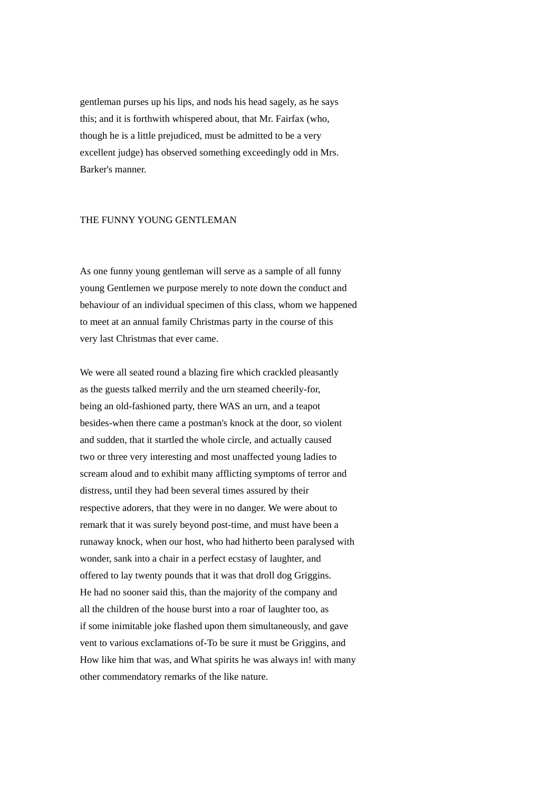gentleman purses up his lips, and nods his head sagely, as he says this; and it is forthwith whispered about, that Mr. Fairfax (who, though he is a little prejudiced, must be admitted to be a very excellent judge) has observed something exceedingly odd in Mrs. Barker's manner.

### THE FUNNY YOUNG GENTLEMAN

As one funny young gentleman will serve as a sample of all funny young Gentlemen we purpose merely to note down the conduct and behaviour of an individual specimen of this class, whom we happened to meet at an annual family Christmas party in the course of this very last Christmas that ever came.

We were all seated round a blazing fire which crackled pleasantly as the guests talked merrily and the urn steamed cheerily-for, being an old-fashioned party, there WAS an urn, and a teapot besides-when there came a postman's knock at the door, so violent and sudden, that it startled the whole circle, and actually caused two or three very interesting and most unaffected young ladies to scream aloud and to exhibit many afflicting symptoms of terror and distress, until they had been several times assured by their respective adorers, that they were in no danger. We were about to remark that it was surely beyond post-time, and must have been a runaway knock, when our host, who had hitherto been paralysed with wonder, sank into a chair in a perfect ecstasy of laughter, and offered to lay twenty pounds that it was that droll dog Griggins. He had no sooner said this, than the majority of the company and all the children of the house burst into a roar of laughter too, as if some inimitable joke flashed upon them simultaneously, and gave vent to various exclamations of-To be sure it must be Griggins, and How like him that was, and What spirits he was always in! with many other commendatory remarks of the like nature.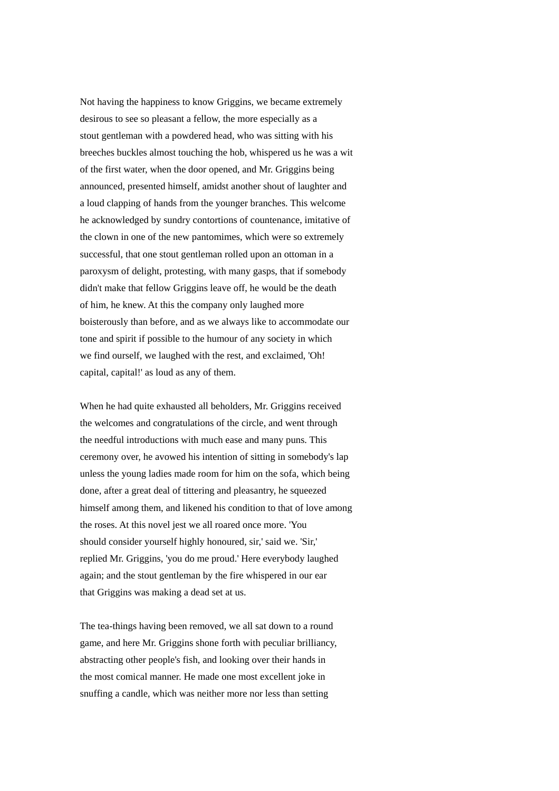Not having the happiness to know Griggins, we became extremely desirous to see so pleasant a fellow, the more especially as a stout gentleman with a powdered head, who was sitting with his breeches buckles almost touching the hob, whispered us he was a wit of the first water, when the door opened, and Mr. Griggins being announced, presented himself, amidst another shout of laughter and a loud clapping of hands from the younger branches. This welcome he acknowledged by sundry contortions of countenance, imitative of the clown in one of the new pantomimes, which were so extremely successful, that one stout gentleman rolled upon an ottoman in a paroxysm of delight, protesting, with many gasps, that if somebody didn't make that fellow Griggins leave off, he would be the death of him, he knew. At this the company only laughed more boisterously than before, and as we always like to accommodate our tone and spirit if possible to the humour of any society in which we find ourself, we laughed with the rest, and exclaimed, 'Oh! capital, capital!' as loud as any of them.

When he had quite exhausted all beholders, Mr. Griggins received the welcomes and congratulations of the circle, and went through the needful introductions with much ease and many puns. This ceremony over, he avowed his intention of sitting in somebody's lap unless the young ladies made room for him on the sofa, which being done, after a great deal of tittering and pleasantry, he squeezed himself among them, and likened his condition to that of love among the roses. At this novel jest we all roared once more. 'You should consider yourself highly honoured, sir,' said we. 'Sir,' replied Mr. Griggins, 'you do me proud.' Here everybody laughed again; and the stout gentleman by the fire whispered in our ear that Griggins was making a dead set at us.

The tea-things having been removed, we all sat down to a round game, and here Mr. Griggins shone forth with peculiar brilliancy, abstracting other people's fish, and looking over their hands in the most comical manner. He made one most excellent joke in snuffing a candle, which was neither more nor less than setting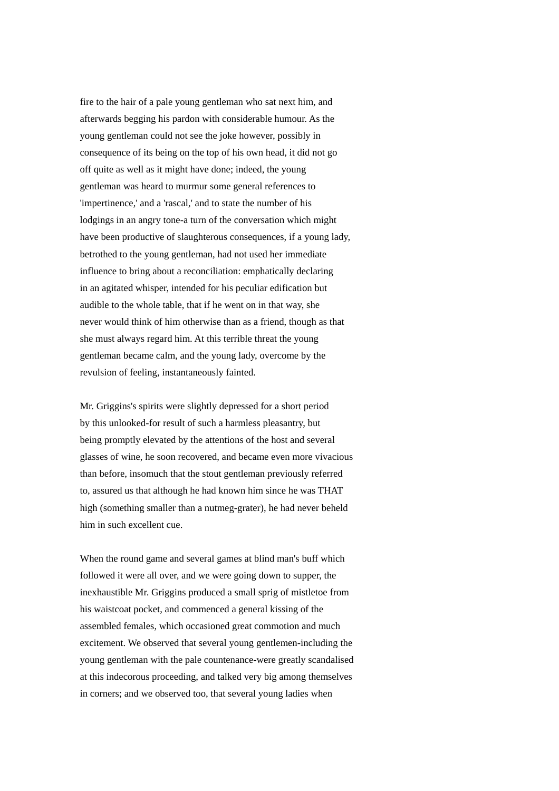fire to the hair of a pale young gentleman who sat next him, and afterwards begging his pardon with considerable humour. As the young gentleman could not see the joke however, possibly in consequence of its being on the top of his own head, it did not go off quite as well as it might have done; indeed, the young gentleman was heard to murmur some general references to 'impertinence,' and a 'rascal,' and to state the number of his lodgings in an angry tone-a turn of the conversation which might have been productive of slaughterous consequences, if a young lady, betrothed to the young gentleman, had not used her immediate influence to bring about a reconciliation: emphatically declaring in an agitated whisper, intended for his peculiar edification but audible to the whole table, that if he went on in that way, she never would think of him otherwise than as a friend, though as that she must always regard him. At this terrible threat the young gentleman became calm, and the young lady, overcome by the revulsion of feeling, instantaneously fainted.

Mr. Griggins's spirits were slightly depressed for a short period by this unlooked-for result of such a harmless pleasantry, but being promptly elevated by the attentions of the host and several glasses of wine, he soon recovered, and became even more vivacious than before, insomuch that the stout gentleman previously referred to, assured us that although he had known him since he was THAT high (something smaller than a nutmeg-grater), he had never beheld him in such excellent cue.

When the round game and several games at blind man's buff which followed it were all over, and we were going down to supper, the inexhaustible Mr. Griggins produced a small sprig of mistletoe from his waistcoat pocket, and commenced a general kissing of the assembled females, which occasioned great commotion and much excitement. We observed that several young gentlemen-including the young gentleman with the pale countenance-were greatly scandalised at this indecorous proceeding, and talked very big among themselves in corners; and we observed too, that several young ladies when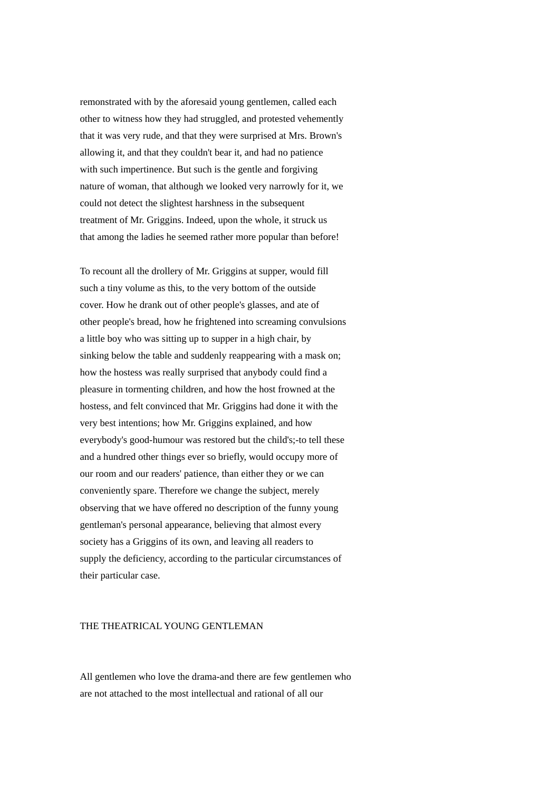remonstrated with by the aforesaid young gentlemen, called each other to witness how they had struggled, and protested vehemently that it was very rude, and that they were surprised at Mrs. Brown's allowing it, and that they couldn't bear it, and had no patience with such impertinence. But such is the gentle and forgiving nature of woman, that although we looked very narrowly for it, we could not detect the slightest harshness in the subsequent treatment of Mr. Griggins. Indeed, upon the whole, it struck us that among the ladies he seemed rather more popular than before!

To recount all the drollery of Mr. Griggins at supper, would fill such a tiny volume as this, to the very bottom of the outside cover. How he drank out of other people's glasses, and ate of other people's bread, how he frightened into screaming convulsions a little boy who was sitting up to supper in a high chair, by sinking below the table and suddenly reappearing with a mask on; how the hostess was really surprised that anybody could find a pleasure in tormenting children, and how the host frowned at the hostess, and felt convinced that Mr. Griggins had done it with the very best intentions; how Mr. Griggins explained, and how everybody's good-humour was restored but the child's;-to tell these and a hundred other things ever so briefly, would occupy more of our room and our readers' patience, than either they or we can conveniently spare. Therefore we change the subject, merely observing that we have offered no description of the funny young gentleman's personal appearance, believing that almost every society has a Griggins of its own, and leaving all readers to supply the deficiency, according to the particular circumstances of their particular case.

# THE THEATRICAL YOUNG GENTLEMAN

All gentlemen who love the drama-and there are few gentlemen who are not attached to the most intellectual and rational of all our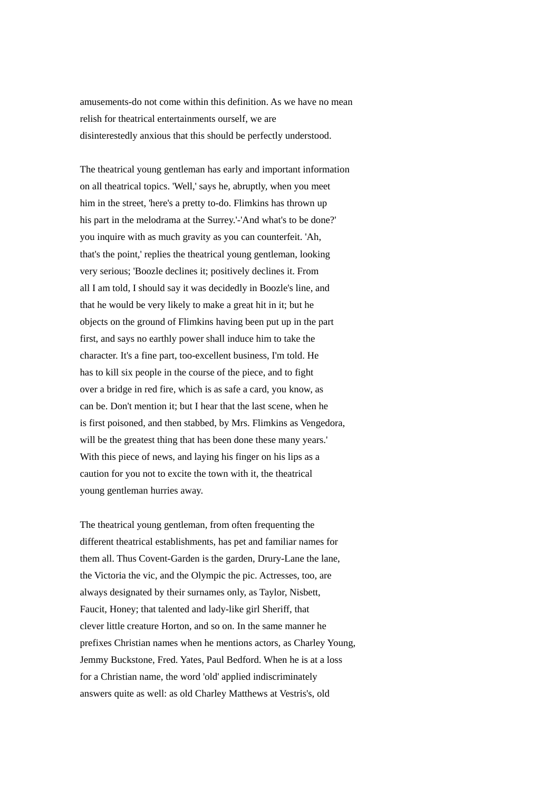amusements-do not come within this definition. As we have no mean relish for theatrical entertainments ourself, we are disinterestedly anxious that this should be perfectly understood.

The theatrical young gentleman has early and important information on all theatrical topics. 'Well,' says he, abruptly, when you meet him in the street, 'here's a pretty to-do. Flimkins has thrown up his part in the melodrama at the Surrey.'-'And what's to be done?' you inquire with as much gravity as you can counterfeit. 'Ah, that's the point,' replies the theatrical young gentleman, looking very serious; 'Boozle declines it; positively declines it. From all I am told, I should say it was decidedly in Boozle's line, and that he would be very likely to make a great hit in it; but he objects on the ground of Flimkins having been put up in the part first, and says no earthly power shall induce him to take the character. It's a fine part, too-excellent business, I'm told. He has to kill six people in the course of the piece, and to fight over a bridge in red fire, which is as safe a card, you know, as can be. Don't mention it; but I hear that the last scene, when he is first poisoned, and then stabbed, by Mrs. Flimkins as Vengedora, will be the greatest thing that has been done these many years.' With this piece of news, and laying his finger on his lips as a caution for you not to excite the town with it, the theatrical young gentleman hurries away.

The theatrical young gentleman, from often frequenting the different theatrical establishments, has pet and familiar names for them all. Thus Covent-Garden is the garden, Drury-Lane the lane, the Victoria the vic, and the Olympic the pic. Actresses, too, are always designated by their surnames only, as Taylor, Nisbett, Faucit, Honey; that talented and lady-like girl Sheriff, that clever little creature Horton, and so on. In the same manner he prefixes Christian names when he mentions actors, as Charley Young, Jemmy Buckstone, Fred. Yates, Paul Bedford. When he is at a loss for a Christian name, the word 'old' applied indiscriminately answers quite as well: as old Charley Matthews at Vestris's, old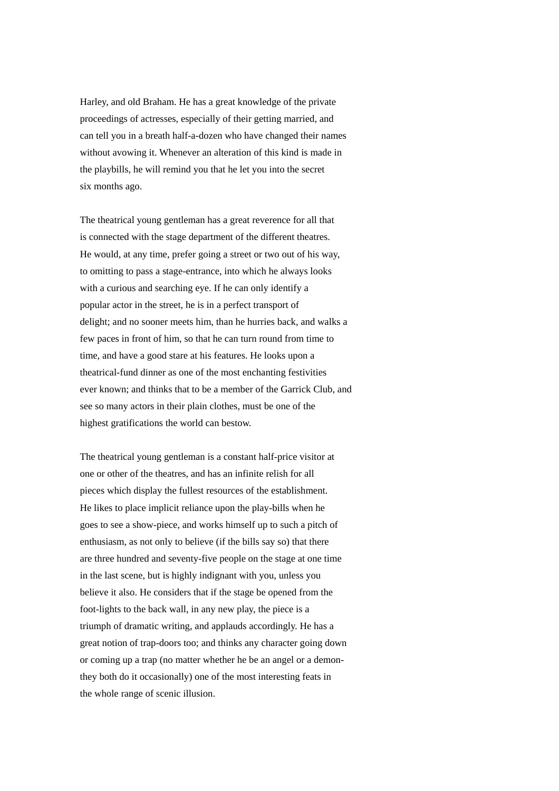Harley, and old Braham. He has a great knowledge of the private proceedings of actresses, especially of their getting married, and can tell you in a breath half-a-dozen who have changed their names without avowing it. Whenever an alteration of this kind is made in the playbills, he will remind you that he let you into the secret six months ago.

The theatrical young gentleman has a great reverence for all that is connected with the stage department of the different theatres. He would, at any time, prefer going a street or two out of his way, to omitting to pass a stage-entrance, into which he always looks with a curious and searching eye. If he can only identify a popular actor in the street, he is in a perfect transport of delight; and no sooner meets him, than he hurries back, and walks a few paces in front of him, so that he can turn round from time to time, and have a good stare at his features. He looks upon a theatrical-fund dinner as one of the most enchanting festivities ever known; and thinks that to be a member of the Garrick Club, and see so many actors in their plain clothes, must be one of the highest gratifications the world can bestow.

The theatrical young gentleman is a constant half-price visitor at one or other of the theatres, and has an infinite relish for all pieces which display the fullest resources of the establishment. He likes to place implicit reliance upon the play-bills when he goes to see a show-piece, and works himself up to such a pitch of enthusiasm, as not only to believe (if the bills say so) that there are three hundred and seventy-five people on the stage at one time in the last scene, but is highly indignant with you, unless you believe it also. He considers that if the stage be opened from the foot-lights to the back wall, in any new play, the piece is a triumph of dramatic writing, and applauds accordingly. He has a great notion of trap-doors too; and thinks any character going down or coming up a trap (no matter whether he be an angel or a demonthey both do it occasionally) one of the most interesting feats in the whole range of scenic illusion.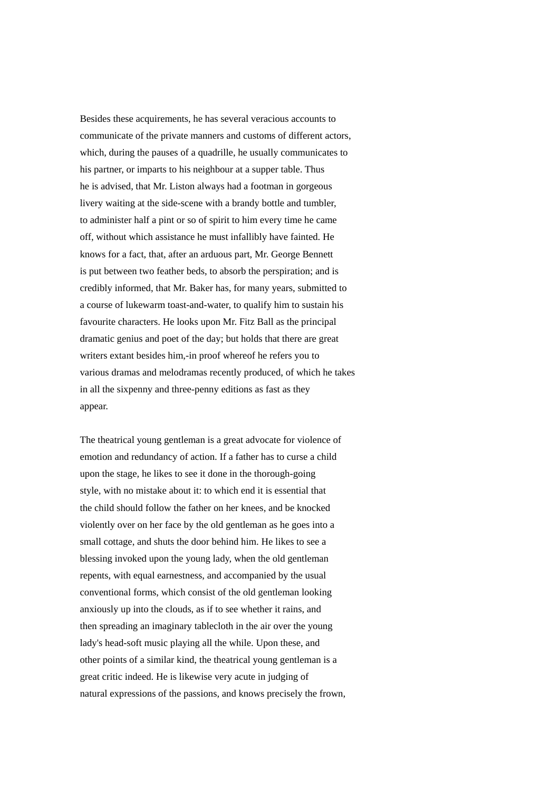Besides these acquirements, he has several veracious accounts to communicate of the private manners and customs of different actors, which, during the pauses of a quadrille, he usually communicates to his partner, or imparts to his neighbour at a supper table. Thus he is advised, that Mr. Liston always had a footman in gorgeous livery waiting at the side-scene with a brandy bottle and tumbler, to administer half a pint or so of spirit to him every time he came off, without which assistance he must infallibly have fainted. He knows for a fact, that, after an arduous part, Mr. George Bennett is put between two feather beds, to absorb the perspiration; and is credibly informed, that Mr. Baker has, for many years, submitted to a course of lukewarm toast-and-water, to qualify him to sustain his favourite characters. He looks upon Mr. Fitz Ball as the principal dramatic genius and poet of the day; but holds that there are great writers extant besides him,-in proof whereof he refers you to various dramas and melodramas recently produced, of which he takes in all the sixpenny and three-penny editions as fast as they appear.

The theatrical young gentleman is a great advocate for violence of emotion and redundancy of action. If a father has to curse a child upon the stage, he likes to see it done in the thorough-going style, with no mistake about it: to which end it is essential that the child should follow the father on her knees, and be knocked violently over on her face by the old gentleman as he goes into a small cottage, and shuts the door behind him. He likes to see a blessing invoked upon the young lady, when the old gentleman repents, with equal earnestness, and accompanied by the usual conventional forms, which consist of the old gentleman looking anxiously up into the clouds, as if to see whether it rains, and then spreading an imaginary tablecloth in the air over the young lady's head-soft music playing all the while. Upon these, and other points of a similar kind, the theatrical young gentleman is a great critic indeed. He is likewise very acute in judging of natural expressions of the passions, and knows precisely the frown,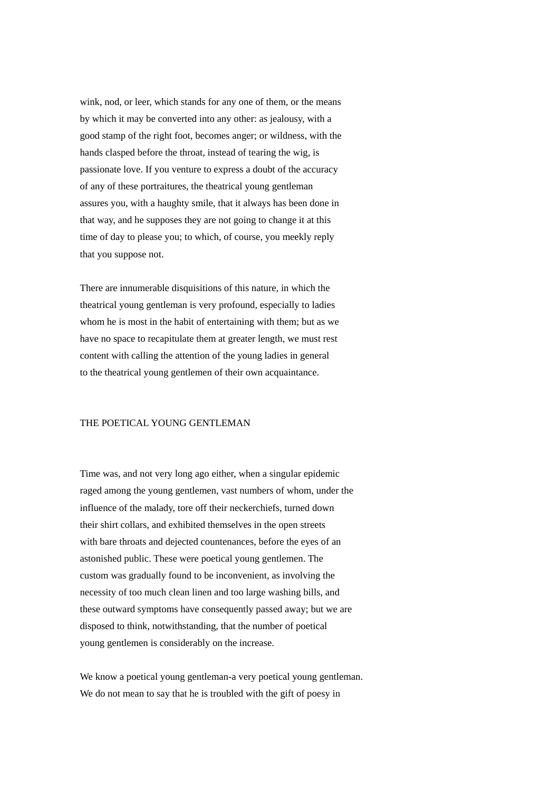wink, nod, or leer, which stands for any one of them, or the means by which it may be converted into any other: as jealousy, with a good stamp of the right foot, becomes anger; or wildness, with the hands clasped before the throat, instead of tearing the wig, is passionate love. If you venture to express a doubt of the accuracy of any of these portraitures, the theatrical young gentleman assures you, with a haughty smile, that it always has been done in that way, and he supposes they are not going to change it at this time of day to please you; to which, of course, you meekly reply that you suppose not.

There are innumerable disquisitions of this nature, in which the theatrical young gentleman is very profound, especially to ladies whom he is most in the habit of entertaining with them; but as we have no space to recapitulate them at greater length, we must rest content with calling the attention of the young ladies in general to the theatrical young gentlemen of their own acquaintance.

# THE POETICAL YOUNG GENTLEMAN

Time was, and not very long ago either, when a singular epidemic raged among the young gentlemen, vast numbers of whom, under the influence of the malady, tore off their neckerchiefs, turned down their shirt collars, and exhibited themselves in the open streets with bare throats and dejected countenances, before the eyes of an astonished public. These were poetical young gentlemen. The custom was gradually found to be inconvenient, as involving the necessity of too much clean linen and too large washing bills, and these outward symptoms have consequently passed away; but we are disposed to think, notwithstanding, that the number of poetical young gentlemen is considerably on the increase.

We know a poetical young gentleman-a very poetical young gentleman. We do not mean to say that he is troubled with the gift of poesy in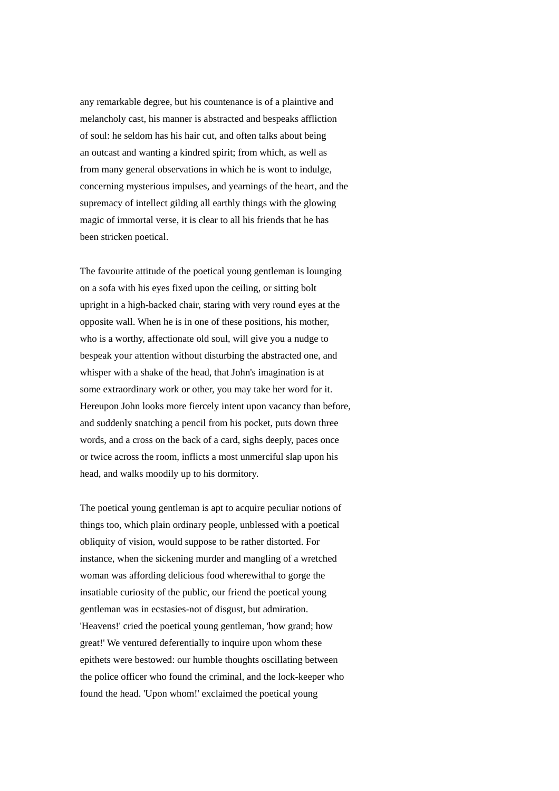any remarkable degree, but his countenance is of a plaintive and melancholy cast, his manner is abstracted and bespeaks affliction of soul: he seldom has his hair cut, and often talks about being an outcast and wanting a kindred spirit; from which, as well as from many general observations in which he is wont to indulge, concerning mysterious impulses, and yearnings of the heart, and the supremacy of intellect gilding all earthly things with the glowing magic of immortal verse, it is clear to all his friends that he has been stricken poetical.

The favourite attitude of the poetical young gentleman is lounging on a sofa with his eyes fixed upon the ceiling, or sitting bolt upright in a high-backed chair, staring with very round eyes at the opposite wall. When he is in one of these positions, his mother, who is a worthy, affectionate old soul, will give you a nudge to bespeak your attention without disturbing the abstracted one, and whisper with a shake of the head, that John's imagination is at some extraordinary work or other, you may take her word for it. Hereupon John looks more fiercely intent upon vacancy than before, and suddenly snatching a pencil from his pocket, puts down three words, and a cross on the back of a card, sighs deeply, paces once or twice across the room, inflicts a most unmerciful slap upon his head, and walks moodily up to his dormitory.

The poetical young gentleman is apt to acquire peculiar notions of things too, which plain ordinary people, unblessed with a poetical obliquity of vision, would suppose to be rather distorted. For instance, when the sickening murder and mangling of a wretched woman was affording delicious food wherewithal to gorge the insatiable curiosity of the public, our friend the poetical young gentleman was in ecstasies-not of disgust, but admiration. 'Heavens!' cried the poetical young gentleman, 'how grand; how great!' We ventured deferentially to inquire upon whom these epithets were bestowed: our humble thoughts oscillating between the police officer who found the criminal, and the lock-keeper who found the head. 'Upon whom!' exclaimed the poetical young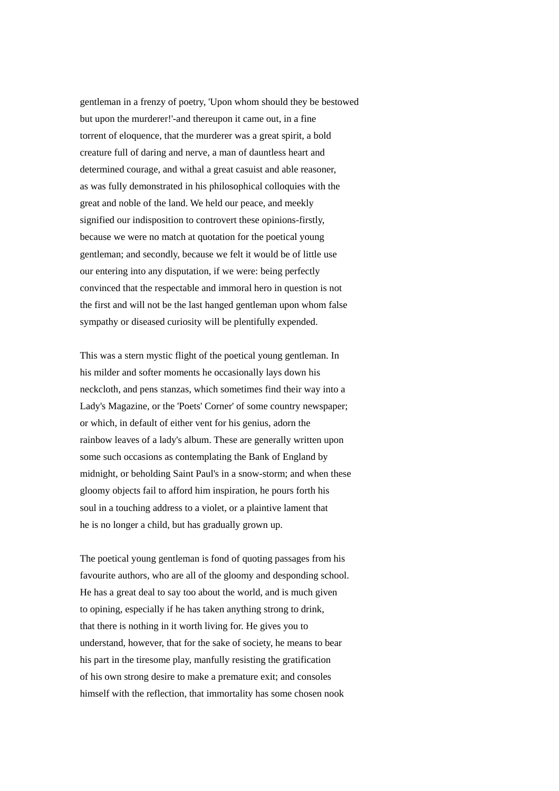gentleman in a frenzy of poetry, 'Upon whom should they be bestowed but upon the murderer!'-and thereupon it came out, in a fine torrent of eloquence, that the murderer was a great spirit, a bold creature full of daring and nerve, a man of dauntless heart and determined courage, and withal a great casuist and able reasoner, as was fully demonstrated in his philosophical colloquies with the great and noble of the land. We held our peace, and meekly signified our indisposition to controvert these opinions-firstly, because we were no match at quotation for the poetical young gentleman; and secondly, because we felt it would be of little use our entering into any disputation, if we were: being perfectly convinced that the respectable and immoral hero in question is not the first and will not be the last hanged gentleman upon whom false sympathy or diseased curiosity will be plentifully expended.

This was a stern mystic flight of the poetical young gentleman. In his milder and softer moments he occasionally lays down his neckcloth, and pens stanzas, which sometimes find their way into a Lady's Magazine, or the 'Poets' Corner' of some country newspaper; or which, in default of either vent for his genius, adorn the rainbow leaves of a lady's album. These are generally written upon some such occasions as contemplating the Bank of England by midnight, or beholding Saint Paul's in a snow-storm; and when these gloomy objects fail to afford him inspiration, he pours forth his soul in a touching address to a violet, or a plaintive lament that he is no longer a child, but has gradually grown up.

The poetical young gentleman is fond of quoting passages from his favourite authors, who are all of the gloomy and desponding school. He has a great deal to say too about the world, and is much given to opining, especially if he has taken anything strong to drink, that there is nothing in it worth living for. He gives you to understand, however, that for the sake of society, he means to bear his part in the tiresome play, manfully resisting the gratification of his own strong desire to make a premature exit; and consoles himself with the reflection, that immortality has some chosen nook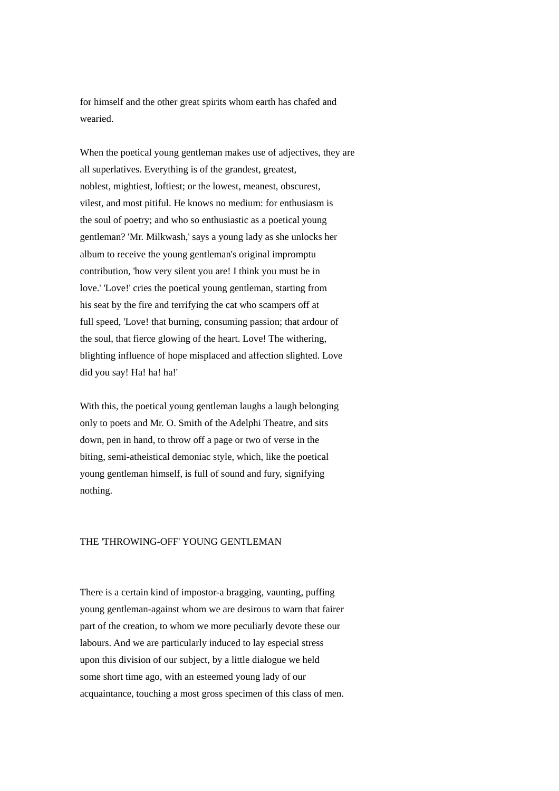for himself and the other great spirits whom earth has chafed and wearied.

When the poetical young gentleman makes use of adjectives, they are all superlatives. Everything is of the grandest, greatest, noblest, mightiest, loftiest; or the lowest, meanest, obscurest, vilest, and most pitiful. He knows no medium: for enthusiasm is the soul of poetry; and who so enthusiastic as a poetical young gentleman? 'Mr. Milkwash,' says a young lady as she unlocks her album to receive the young gentleman's original impromptu contribution, 'how very silent you are! I think you must be in love.' 'Love!' cries the poetical young gentleman, starting from his seat by the fire and terrifying the cat who scampers off at full speed, 'Love! that burning, consuming passion; that ardour of the soul, that fierce glowing of the heart. Love! The withering, blighting influence of hope misplaced and affection slighted. Love did you say! Ha! ha! ha!'

With this, the poetical young gentleman laughs a laugh belonging only to poets and Mr. O. Smith of the Adelphi Theatre, and sits down, pen in hand, to throw off a page or two of verse in the biting, semi-atheistical demoniac style, which, like the poetical young gentleman himself, is full of sound and fury, signifying nothing.

# THE 'THROWING-OFF' YOUNG GENTLEMAN

There is a certain kind of impostor-a bragging, vaunting, puffing young gentleman-against whom we are desirous to warn that fairer part of the creation, to whom we more peculiarly devote these our labours. And we are particularly induced to lay especial stress upon this division of our subject, by a little dialogue we held some short time ago, with an esteemed young lady of our acquaintance, touching a most gross specimen of this class of men.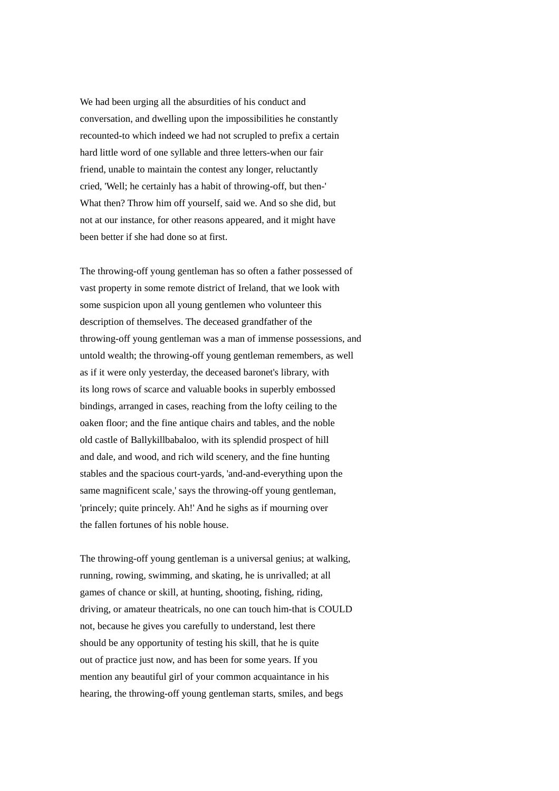We had been urging all the absurdities of his conduct and conversation, and dwelling upon the impossibilities he constantly recounted-to which indeed we had not scrupled to prefix a certain hard little word of one syllable and three letters-when our fair friend, unable to maintain the contest any longer, reluctantly cried, 'Well; he certainly has a habit of throwing-off, but then-' What then? Throw him off yourself, said we. And so she did, but not at our instance, for other reasons appeared, and it might have been better if she had done so at first.

The throwing-off young gentleman has so often a father possessed of vast property in some remote district of Ireland, that we look with some suspicion upon all young gentlemen who volunteer this description of themselves. The deceased grandfather of the throwing-off young gentleman was a man of immense possessions, and untold wealth; the throwing-off young gentleman remembers, as well as if it were only yesterday, the deceased baronet's library, with its long rows of scarce and valuable books in superbly embossed bindings, arranged in cases, reaching from the lofty ceiling to the oaken floor; and the fine antique chairs and tables, and the noble old castle of Ballykillbabaloo, with its splendid prospect of hill and dale, and wood, and rich wild scenery, and the fine hunting stables and the spacious court-yards, 'and-and-everything upon the same magnificent scale,' says the throwing-off young gentleman, 'princely; quite princely. Ah!' And he sighs as if mourning over the fallen fortunes of his noble house.

The throwing-off young gentleman is a universal genius; at walking, running, rowing, swimming, and skating, he is unrivalled; at all games of chance or skill, at hunting, shooting, fishing, riding, driving, or amateur theatricals, no one can touch him-that is COULD not, because he gives you carefully to understand, lest there should be any opportunity of testing his skill, that he is quite out of practice just now, and has been for some years. If you mention any beautiful girl of your common acquaintance in his hearing, the throwing-off young gentleman starts, smiles, and begs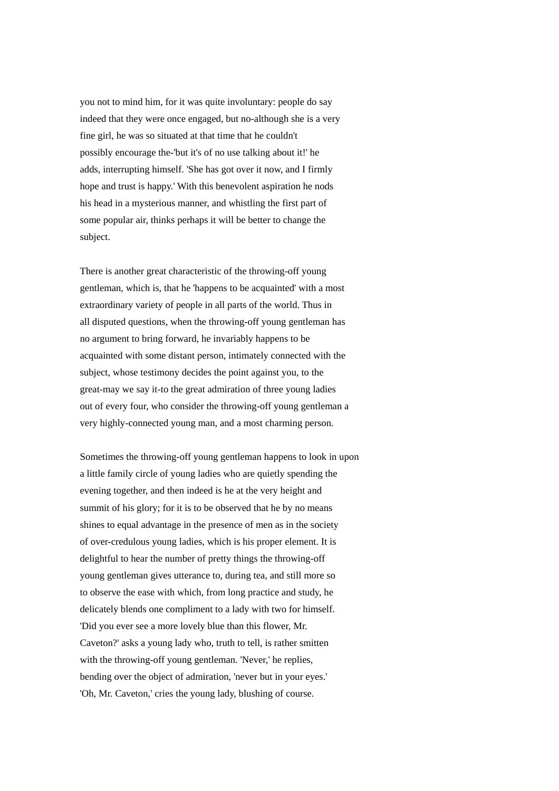you not to mind him, for it was quite involuntary: people do say indeed that they were once engaged, but no-although she is a very fine girl, he was so situated at that time that he couldn't possibly encourage the-'but it's of no use talking about it!' he adds, interrupting himself. 'She has got over it now, and I firmly hope and trust is happy.' With this benevolent aspiration he nods his head in a mysterious manner, and whistling the first part of some popular air, thinks perhaps it will be better to change the subject.

There is another great characteristic of the throwing-off young gentleman, which is, that he 'happens to be acquainted' with a most extraordinary variety of people in all parts of the world. Thus in all disputed questions, when the throwing-off young gentleman has no argument to bring forward, he invariably happens to be acquainted with some distant person, intimately connected with the subject, whose testimony decides the point against you, to the great-may we say it-to the great admiration of three young ladies out of every four, who consider the throwing-off young gentleman a very highly-connected young man, and a most charming person.

Sometimes the throwing-off young gentleman happens to look in upon a little family circle of young ladies who are quietly spending the evening together, and then indeed is he at the very height and summit of his glory; for it is to be observed that he by no means shines to equal advantage in the presence of men as in the society of over-credulous young ladies, which is his proper element. It is delightful to hear the number of pretty things the throwing-off young gentleman gives utterance to, during tea, and still more so to observe the ease with which, from long practice and study, he delicately blends one compliment to a lady with two for himself. 'Did you ever see a more lovely blue than this flower, Mr. Caveton?' asks a young lady who, truth to tell, is rather smitten with the throwing-off young gentleman. 'Never,' he replies, bending over the object of admiration, 'never but in your eyes.' 'Oh, Mr. Caveton,' cries the young lady, blushing of course.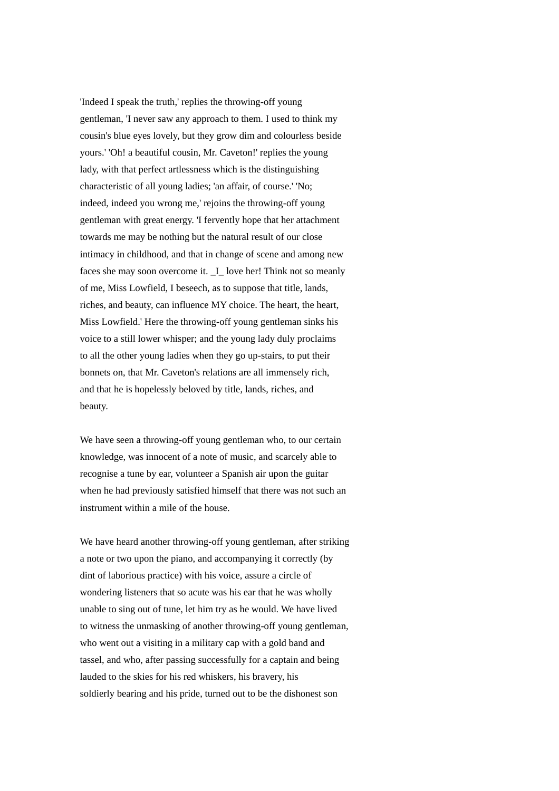'Indeed I speak the truth,' replies the throwing-off young gentleman, 'I never saw any approach to them. I used to think my cousin's blue eyes lovely, but they grow dim and colourless beside yours.' 'Oh! a beautiful cousin, Mr. Caveton!' replies the young lady, with that perfect artlessness which is the distinguishing characteristic of all young ladies; 'an affair, of course.' 'No; indeed, indeed you wrong me,' rejoins the throwing-off young gentleman with great energy. 'I fervently hope that her attachment towards me may be nothing but the natural result of our close intimacy in childhood, and that in change of scene and among new faces she may soon overcome it. I love her! Think not so meanly of me, Miss Lowfield, I beseech, as to suppose that title, lands, riches, and beauty, can influence MY choice. The heart, the heart, Miss Lowfield.' Here the throwing-off young gentleman sinks his voice to a still lower whisper; and the young lady duly proclaims to all the other young ladies when they go up-stairs, to put their bonnets on, that Mr. Caveton's relations are all immensely rich, and that he is hopelessly beloved by title, lands, riches, and beauty.

We have seen a throwing-off young gentleman who, to our certain knowledge, was innocent of a note of music, and scarcely able to recognise a tune by ear, volunteer a Spanish air upon the guitar when he had previously satisfied himself that there was not such an instrument within a mile of the house.

We have heard another throwing-off young gentleman, after striking a note or two upon the piano, and accompanying it correctly (by dint of laborious practice) with his voice, assure a circle of wondering listeners that so acute was his ear that he was wholly unable to sing out of tune, let him try as he would. We have lived to witness the unmasking of another throwing-off young gentleman, who went out a visiting in a military cap with a gold band and tassel, and who, after passing successfully for a captain and being lauded to the skies for his red whiskers, his bravery, his soldierly bearing and his pride, turned out to be the dishonest son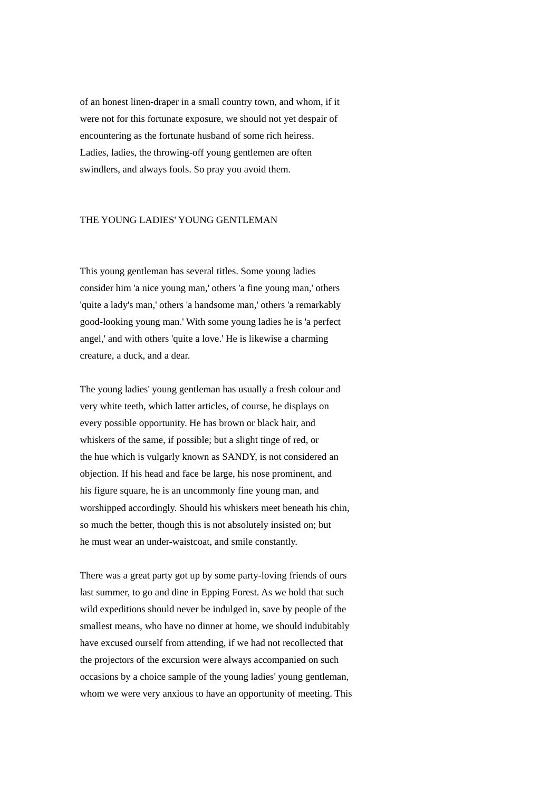of an honest linen-draper in a small country town, and whom, if it were not for this fortunate exposure, we should not yet despair of encountering as the fortunate husband of some rich heiress. Ladies, ladies, the throwing-off young gentlemen are often swindlers, and always fools. So pray you avoid them.

### THE YOUNG LADIES' YOUNG GENTLEMAN

This young gentleman has several titles. Some young ladies consider him 'a nice young man,' others 'a fine young man,' others 'quite a lady's man,' others 'a handsome man,' others 'a remarkably good-looking young man.' With some young ladies he is 'a perfect angel,' and with others 'quite a love.' He is likewise a charming creature, a duck, and a dear.

The young ladies' young gentleman has usually a fresh colour and very white teeth, which latter articles, of course, he displays on every possible opportunity. He has brown or black hair, and whiskers of the same, if possible; but a slight tinge of red, or the hue which is vulgarly known as SANDY, is not considered an objection. If his head and face be large, his nose prominent, and his figure square, he is an uncommonly fine young man, and worshipped accordingly. Should his whiskers meet beneath his chin, so much the better, though this is not absolutely insisted on; but he must wear an under-waistcoat, and smile constantly.

There was a great party got up by some party-loving friends of ours last summer, to go and dine in Epping Forest. As we hold that such wild expeditions should never be indulged in, save by people of the smallest means, who have no dinner at home, we should indubitably have excused ourself from attending, if we had not recollected that the projectors of the excursion were always accompanied on such occasions by a choice sample of the young ladies' young gentleman, whom we were very anxious to have an opportunity of meeting. This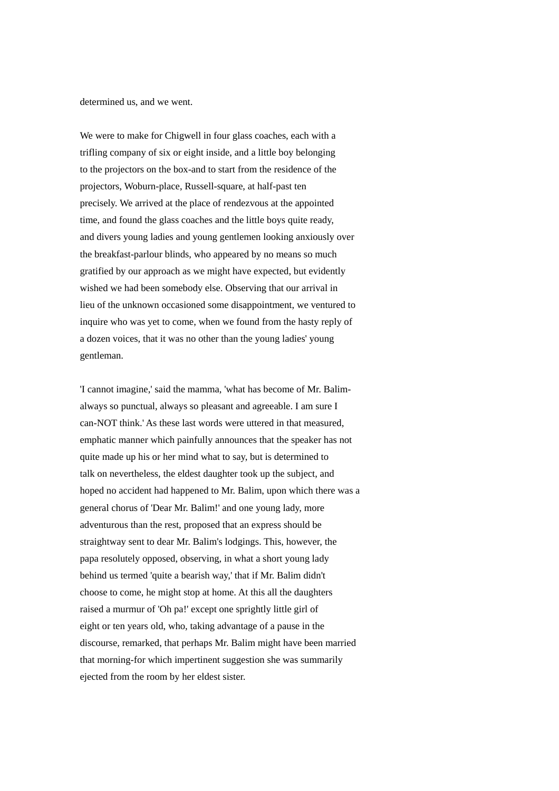determined us, and we went.

We were to make for Chigwell in four glass coaches, each with a trifling company of six or eight inside, and a little boy belonging to the projectors on the box-and to start from the residence of the projectors, Woburn-place, Russell-square, at half-past ten precisely. We arrived at the place of rendezvous at the appointed time, and found the glass coaches and the little boys quite ready, and divers young ladies and young gentlemen looking anxiously over the breakfast-parlour blinds, who appeared by no means so much gratified by our approach as we might have expected, but evidently wished we had been somebody else. Observing that our arrival in lieu of the unknown occasioned some disappointment, we ventured to inquire who was yet to come, when we found from the hasty reply of a dozen voices, that it was no other than the young ladies' young gentleman.

'I cannot imagine,' said the mamma, 'what has become of Mr. Balimalways so punctual, always so pleasant and agreeable. I am sure I can-NOT think.' As these last words were uttered in that measured, emphatic manner which painfully announces that the speaker has not quite made up his or her mind what to say, but is determined to talk on nevertheless, the eldest daughter took up the subject, and hoped no accident had happened to Mr. Balim, upon which there was a general chorus of 'Dear Mr. Balim!' and one young lady, more adventurous than the rest, proposed that an express should be straightway sent to dear Mr. Balim's lodgings. This, however, the papa resolutely opposed, observing, in what a short young lady behind us termed 'quite a bearish way,' that if Mr. Balim didn't choose to come, he might stop at home. At this all the daughters raised a murmur of 'Oh pa!' except one sprightly little girl of eight or ten years old, who, taking advantage of a pause in the discourse, remarked, that perhaps Mr. Balim might have been married that morning-for which impertinent suggestion she was summarily ejected from the room by her eldest sister.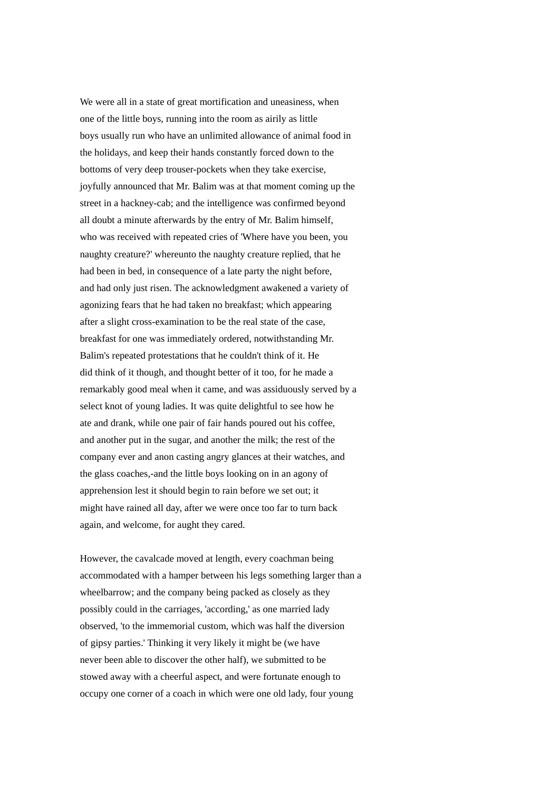We were all in a state of great mortification and uneasiness, when one of the little boys, running into the room as airily as little boys usually run who have an unlimited allowance of animal food in the holidays, and keep their hands constantly forced down to the bottoms of very deep trouser-pockets when they take exercise, joyfully announced that Mr. Balim was at that moment coming up the street in a hackney-cab; and the intelligence was confirmed beyond all doubt a minute afterwards by the entry of Mr. Balim himself, who was received with repeated cries of 'Where have you been, you naughty creature?' whereunto the naughty creature replied, that he had been in bed, in consequence of a late party the night before, and had only just risen. The acknowledgment awakened a variety of agonizing fears that he had taken no breakfast; which appearing after a slight cross-examination to be the real state of the case, breakfast for one was immediately ordered, notwithstanding Mr. Balim's repeated protestations that he couldn't think of it. He did think of it though, and thought better of it too, for he made a remarkably good meal when it came, and was assiduously served by a select knot of young ladies. It was quite delightful to see how he ate and drank, while one pair of fair hands poured out his coffee, and another put in the sugar, and another the milk; the rest of the company ever and anon casting angry glances at their watches, and the glass coaches,-and the little boys looking on in an agony of apprehension lest it should begin to rain before we set out; it might have rained all day, after we were once too far to turn back again, and welcome, for aught they cared.

However, the cavalcade moved at length, every coachman being accommodated with a hamper between his legs something larger than a wheelbarrow; and the company being packed as closely as they possibly could in the carriages, 'according,' as one married lady observed, 'to the immemorial custom, which was half the diversion of gipsy parties.' Thinking it very likely it might be (we have never been able to discover the other half), we submitted to be stowed away with a cheerful aspect, and were fortunate enough to occupy one corner of a coach in which were one old lady, four young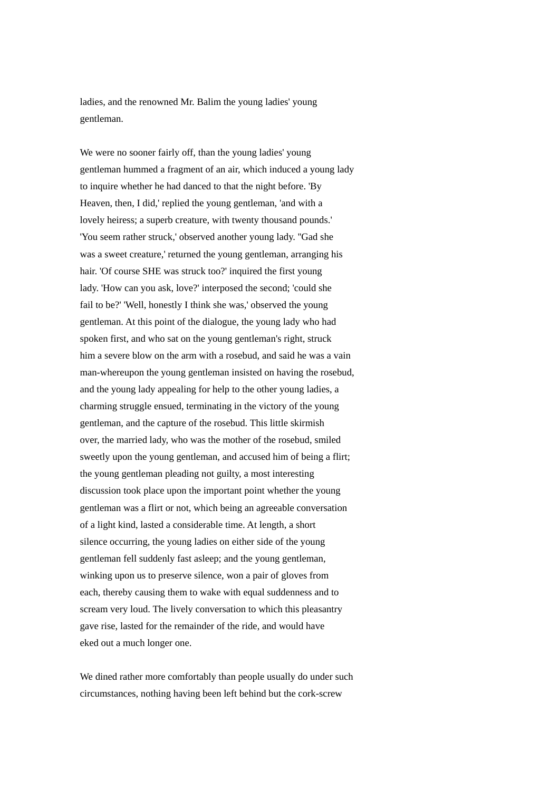ladies, and the renowned Mr. Balim the young ladies' young gentleman.

We were no sooner fairly off, than the young ladies' young gentleman hummed a fragment of an air, which induced a young lady to inquire whether he had danced to that the night before. 'By Heaven, then, I did,' replied the young gentleman, 'and with a lovely heiress; a superb creature, with twenty thousand pounds.' 'You seem rather struck,' observed another young lady. ''Gad she was a sweet creature,' returned the young gentleman, arranging his hair. 'Of course SHE was struck too?' inquired the first young lady. 'How can you ask, love?' interposed the second; 'could she fail to be?' 'Well, honestly I think she was,' observed the young gentleman. At this point of the dialogue, the young lady who had spoken first, and who sat on the young gentleman's right, struck him a severe blow on the arm with a rosebud, and said he was a vain man-whereupon the young gentleman insisted on having the rosebud, and the young lady appealing for help to the other young ladies, a charming struggle ensued, terminating in the victory of the young gentleman, and the capture of the rosebud. This little skirmish over, the married lady, who was the mother of the rosebud, smiled sweetly upon the young gentleman, and accused him of being a flirt; the young gentleman pleading not guilty, a most interesting discussion took place upon the important point whether the young gentleman was a flirt or not, which being an agreeable conversation of a light kind, lasted a considerable time. At length, a short silence occurring, the young ladies on either side of the young gentleman fell suddenly fast asleep; and the young gentleman, winking upon us to preserve silence, won a pair of gloves from each, thereby causing them to wake with equal suddenness and to scream very loud. The lively conversation to which this pleasantry gave rise, lasted for the remainder of the ride, and would have eked out a much longer one.

We dined rather more comfortably than people usually do under such circumstances, nothing having been left behind but the cork-screw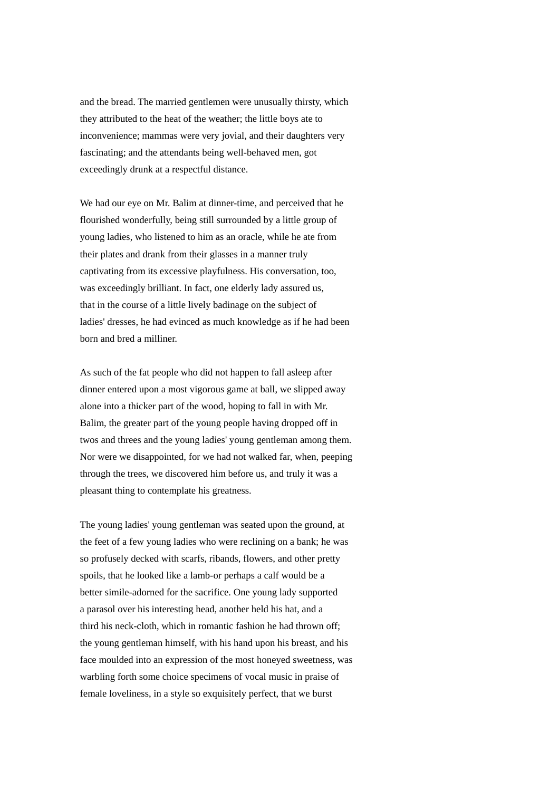and the bread. The married gentlemen were unusually thirsty, which they attributed to the heat of the weather; the little boys ate to inconvenience; mammas were very jovial, and their daughters very fascinating; and the attendants being well-behaved men, got exceedingly drunk at a respectful distance.

We had our eye on Mr. Balim at dinner-time, and perceived that he flourished wonderfully, being still surrounded by a little group of young ladies, who listened to him as an oracle, while he ate from their plates and drank from their glasses in a manner truly captivating from its excessive playfulness. His conversation, too, was exceedingly brilliant. In fact, one elderly lady assured us, that in the course of a little lively badinage on the subject of ladies' dresses, he had evinced as much knowledge as if he had been born and bred a milliner.

As such of the fat people who did not happen to fall asleep after dinner entered upon a most vigorous game at ball, we slipped away alone into a thicker part of the wood, hoping to fall in with Mr. Balim, the greater part of the young people having dropped off in twos and threes and the young ladies' young gentleman among them. Nor were we disappointed, for we had not walked far, when, peeping through the trees, we discovered him before us, and truly it was a pleasant thing to contemplate his greatness.

The young ladies' young gentleman was seated upon the ground, at the feet of a few young ladies who were reclining on a bank; he was so profusely decked with scarfs, ribands, flowers, and other pretty spoils, that he looked like a lamb-or perhaps a calf would be a better simile-adorned for the sacrifice. One young lady supported a parasol over his interesting head, another held his hat, and a third his neck-cloth, which in romantic fashion he had thrown off; the young gentleman himself, with his hand upon his breast, and his face moulded into an expression of the most honeyed sweetness, was warbling forth some choice specimens of vocal music in praise of female loveliness, in a style so exquisitely perfect, that we burst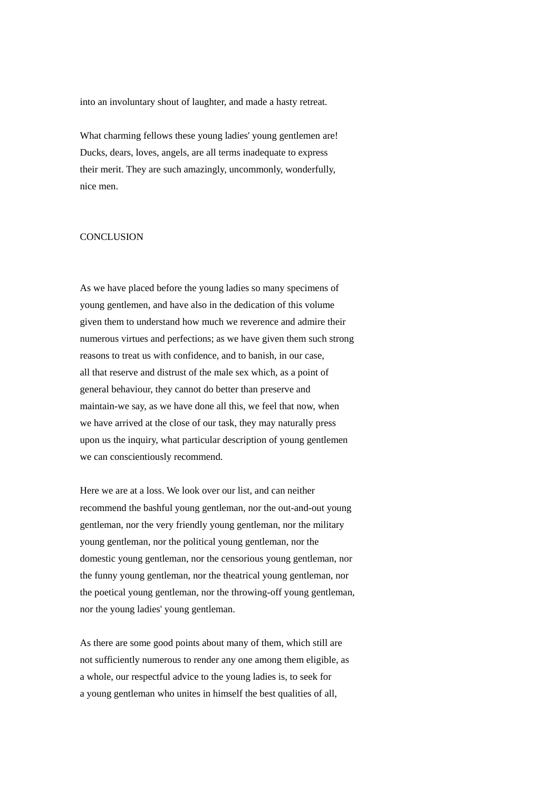into an involuntary shout of laughter, and made a hasty retreat.

What charming fellows these young ladies' young gentlemen are! Ducks, dears, loves, angels, are all terms inadequate to express their merit. They are such amazingly, uncommonly, wonderfully, nice men.

### **CONCLUSION**

As we have placed before the young ladies so many specimens of young gentlemen, and have also in the dedication of this volume given them to understand how much we reverence and admire their numerous virtues and perfections; as we have given them such strong reasons to treat us with confidence, and to banish, in our case, all that reserve and distrust of the male sex which, as a point of general behaviour, they cannot do better than preserve and maintain-we say, as we have done all this, we feel that now, when we have arrived at the close of our task, they may naturally press upon us the inquiry, what particular description of young gentlemen we can conscientiously recommend.

Here we are at a loss. We look over our list, and can neither recommend the bashful young gentleman, nor the out-and-out young gentleman, nor the very friendly young gentleman, nor the military young gentleman, nor the political young gentleman, nor the domestic young gentleman, nor the censorious young gentleman, nor the funny young gentleman, nor the theatrical young gentleman, nor the poetical young gentleman, nor the throwing-off young gentleman, nor the young ladies' young gentleman.

As there are some good points about many of them, which still are not sufficiently numerous to render any one among them eligible, as a whole, our respectful advice to the young ladies is, to seek for a young gentleman who unites in himself the best qualities of all,